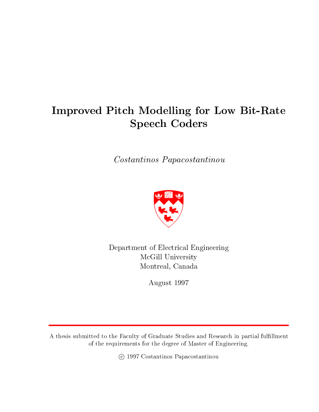# Improved Pitch Modelling for Low Bit-Rate  $\sim$   $\sim$   $\sim$   $\sim$   $\sim$   $\sim$   $\sim$   $\sim$

Costantinos Papacostantinou



Department of Electrical Engineering McGill University Montreal, Canada

August 1997

A thesis submitted to the Faculty of Graduate Studies and Research in partial fulllment of the requirements for the degree of Master of Engineering.

c 1997 Costantinos Papacostantinou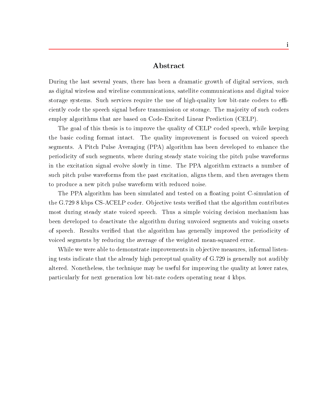### Abstract

During the last several years, there has been a dramatic growth of digital services, such as digital wireless and wireline communications, satellite communications and digital voice storage systems. Such services require the use of high-quality low bit-rate coders to efficiently code the speech signal before transmission or storage. The ma jority of such coders employ algorithms that are based on Code-Excited Linear Prediction (CELP).

The goal of this thesis is to improve the quality of CELP coded speech, while keeping the basic coding format intact. The quality improvement is focused on voiced speech segments. A Pitch Pulse Averaging (PPA) algorithm has been developed to enhance the periodicity of such segments, where during steady state voicing the pitch pulse waveforms in the excitation signal evolve slowly in time. The PPA algorithm extracts a number of such pitch pulse waveforms from the past excitation, aligns them, and then averages them to produce a new pitch pulse waveform with reduced noise.

The PPA algorithm has been simulated and tested on a floating point C-simulation of the G.729 8 kbps CS-ACELP coder. Objective tests verified that the algorithm contributes most during steady state voiced speech. Thus a simple voicing decision mechanism has been developed to deactivate the algorithm during unvoiced segments and voicing onsets of speech. Results veried that the algorithm has generally improved the periodicity of voiced segments by reducing the average of the weighted mean-squared error.

While we were able to demonstrate improvements in objective measures, informal listening tests indicate that the already high perceptual quality of G.729 is generally not audibly altered. Nonetheless, the technique may be useful for improving the quality at lower rates, particularly for next generation low bit-rate coders operating near 4 kbps.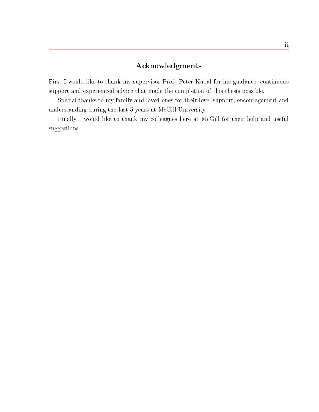## Acknowledgments

First I would like to thank my supervisor Prof. Peter Kabal for his guidance, continuous support and experienced advice that made the completion of this thesis possible.

Special thanks to my family and loved ones for their love, support, encouragement and understanding during the last 5 years at McGill University.

Finally I would like to thank my colleagues here at McGill for their help and useful suggestions.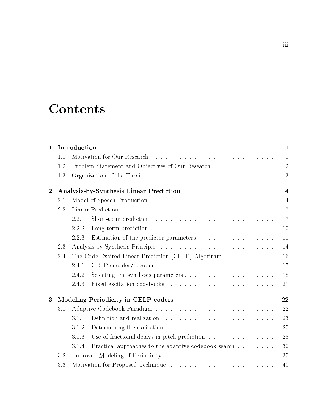# **Contents**

| $\mathbf{1}$   | Introduction |                                                                  | $\mathbf{1}$   |  |
|----------------|--------------|------------------------------------------------------------------|----------------|--|
|                | 1.1          |                                                                  | $\mathbf{1}$   |  |
|                | 1.2          | Problem Statement and Objectives of Our Research                 | $\overline{2}$ |  |
|                | 1.3          |                                                                  | 3              |  |
| $\overline{2}$ |              | Analysis-by-Synthesis Linear Prediction                          | $\overline{4}$ |  |
|                | 2.1          |                                                                  | $\overline{4}$ |  |
|                | 2.2          |                                                                  | $\overline{7}$ |  |
|                |              | 2.2.1                                                            | $\overline{7}$ |  |
|                |              | 2.2.2                                                            | 10             |  |
|                |              | 2.2.3<br>Estimation of the predictor parameters                  | 11             |  |
|                | 2.3          |                                                                  | 14             |  |
|                | 2.4          | The Code-Excited Linear Prediction (CELP) Algorithm              | 16             |  |
|                |              | 2.4.1                                                            | 17             |  |
|                |              | 2.4.2                                                            | 18             |  |
|                |              | 2.4.3                                                            | 21             |  |
| 3              |              | Modeling Periodicity in CELP coders                              | 22             |  |
|                | 3.1          |                                                                  | 22             |  |
|                |              | 3.1.1                                                            | 23             |  |
|                |              | 3.1.2                                                            | 25             |  |
|                |              | 3.1.3<br>Use of fractional delays in pitch prediction $\ldots$ , | 28             |  |
|                |              | Practical approaches to the adaptive codebook search<br>3.1.4    | 30             |  |
|                | 3.2          |                                                                  |                |  |
|                | 3.3          |                                                                  |                |  |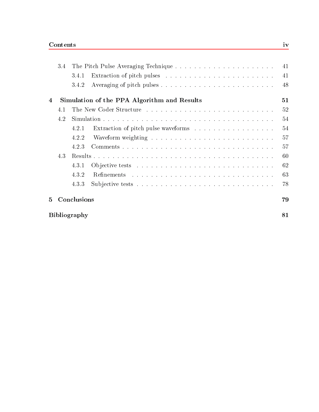|              | 3.4 |             |                                             | 41 |
|--------------|-----|-------------|---------------------------------------------|----|
|              |     | 3.4.1       |                                             | 41 |
|              |     | 3.4.2       |                                             | 48 |
| 4            |     |             | Simulation of the PPA Algorithm and Results | 51 |
|              | 4.1 |             |                                             | 52 |
|              | 4.2 |             |                                             | 54 |
|              |     | 4.2.1       |                                             | 54 |
|              |     | 4.2.2       |                                             | 57 |
|              |     | 4.2.3       |                                             | 57 |
|              | 4.3 |             |                                             | 60 |
|              |     | 4.3.1       |                                             | 62 |
|              |     | 4.3.2       |                                             | 63 |
|              |     | 4.3.3       |                                             | 78 |
| $\mathbf{5}$ |     | Conclusions |                                             | 79 |

| <b>Bibliography</b> |  |
|---------------------|--|
|                     |  |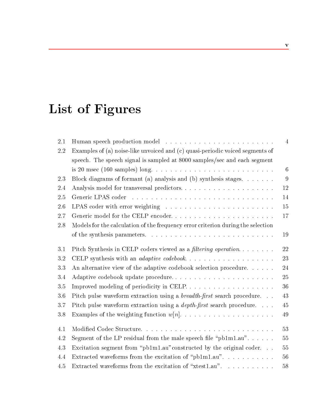# List of Figures

| $2.1\,$ |                                                                                                        | $\overline{4}$  |
|---------|--------------------------------------------------------------------------------------------------------|-----------------|
| 2.2     | Examples of (a) noise-like unvoiced and (c) quasi-periodic voiced segments of                          |                 |
|         | speech. The speech signal is sampled at 8000 samples/sec and each segment                              |                 |
|         | is 20 msec (160 samples) long. $\ldots \ldots \ldots \ldots \ldots \ldots \ldots \ldots \ldots \ldots$ | $6\phantom{.}6$ |
| 2.3     | Block diagrams of formant (a) analysis and (b) synthesis stages.                                       | 9               |
| 2.4     | Analysis model for transversal predictors                                                              | 12              |
| $2.5\,$ |                                                                                                        | 14              |
| 2.6     | LPAS coder with error weighting $\ldots \ldots \ldots \ldots \ldots \ldots \ldots$                     | 15              |
| 2.7     | Generic model for the CELP encoder                                                                     | 17              |
| 2.8     | Models for the calculation of the frequency error criterion during the selection                       |                 |
|         |                                                                                                        | 19              |
| 3.1     | Pitch Synthesis in CELP coders viewed as a <i>filtering operation</i>                                  | 22              |
| 3.2     |                                                                                                        | 23              |
| 3.3     | An alternative view of the adaptive codebook selection procedure                                       | 24              |
| 3.4     | Adaptive codebook update procedure                                                                     | 25              |
| 3.5     |                                                                                                        | 36              |
| 3.6     | Pitch pulse waveform extraction using a <i>breadth-first</i> search procedure                          | 43              |
| 3.7     | Pitch pulse waveform extraction using a <i>depth-first</i> search procedure                            | 45              |
| 3.8     |                                                                                                        | 49              |
| 4.1     |                                                                                                        | 53              |
| 4.2     | Segment of the LP residual from the male speech file " $pb1m1.au"$                                     | 55              |
| 4.3     | Excitation segment from "pb1m1.au" constructed by the original coder                                   | 55              |
| 4.4     | Extracted waveforms from the excitation of "pb1m1.au".                                                 | 56              |
| 4.5     | Extracted waveforms from the excitation of "xtest1.au".                                                | 58              |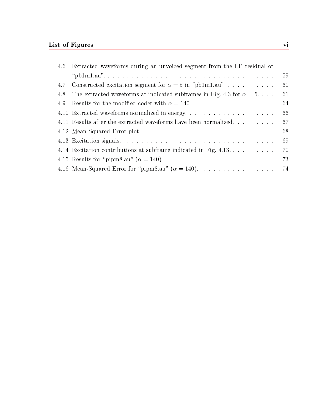| 4.6 | Extracted waveforms during an unvoiced segment from the LP residual of      |      |
|-----|-----------------------------------------------------------------------------|------|
|     |                                                                             | -59  |
| 4.7 | Constructed excitation segment for $\alpha = 5$ in "pb1m1.au"               | 60   |
| 4.8 | The extracted waveforms at indicated subframes in Fig. 4.3 for $\alpha = 5$ | 61   |
| 4.9 |                                                                             | 64   |
|     | 4.10 Extracted waveforms normalized in energy                               | 66   |
|     | 4.11 Results after the extracted waveforms have been normalized             | 67   |
|     |                                                                             | 68   |
|     |                                                                             | -69  |
|     | 4.14 Excitation contributions at subframe indicated in Fig. 4.13.           | 70   |
|     |                                                                             | 73   |
|     | 4.16 Mean-Squared Error for "pipm8.au" $(\alpha = 140)$ .                   | - 74 |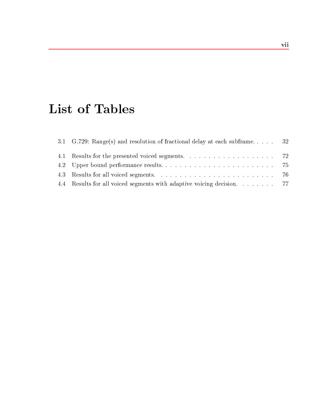# List of Tables

| 3.1 G.729: Range(s) and resolution of fractional delay at each subframe 32 |  |
|----------------------------------------------------------------------------|--|
|                                                                            |  |
|                                                                            |  |
|                                                                            |  |
| 4.4 Results for all voiced segments with adaptive voicing decision. 77     |  |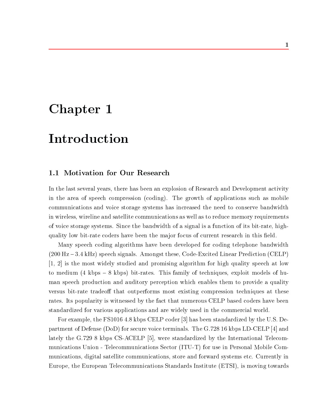# Chapter 1

# Introduction

### 1.1 Motivation for Our Research

In the last several years, there has been an explosion of Research and Development activity in the area of speech compression (coding). The growth of applications such as mobile communications and voice storage systems has increased the need to conserve bandwidth in wireless, wireline and satellite communications as well as to reduce memory requirements of voice storage systems. Since the bandwidth of a signal is a function of its bit-rate, highquality low bit-rate coders have been the major focus of current research in this field.

Many speech coding algorithms have been developed for coding telephone bandwidth  $(200 \text{ Hz} - 3.4 \text{ kHz})$  speech signals. Amongst these, Code-Excited Linear Prediction (CELP) [1, 2] is the most widely studied and promising algorithm for high quality speech at low to medium (4 kbps  $-8$  kbps) bit-rates. This family of techniques, exploit models of human speech production and auditory perception which enables them to provide a quality versus bit-rate tradeoff that outperforms most existing compression techniques at these rates. Its popularity is witnessed by the fact that numerous CELP based coders have been standardized for various applications and are widely used in the commercial world.

For example, the FS1016 4.8 kbps CELP coder [3] has been standardized by the U.S. Department of Defense (DoD) for secure voice terminals. The G.728 16 kbps LD-CELP [4] and lately the G.729 8 kbps CS-ACELP [5], were standardized by the International Telecommunications Union - Telecommunications Sector (ITU-T) for use in Personal Mobile Communications, digital satellite communications, store and forward systems etc. Currently in Europe, the European Telecommunications Standards Institute (ETSI), is moving towards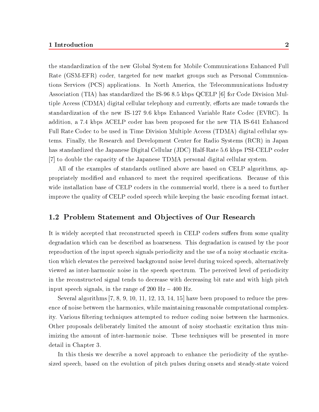the standardization of the new Global System for Mobile Communications Enhanced Full Rate (GSM-EFR) coder, targeted for new market groups such as Personal Communications Services (PCS) applications. In North America, the Telecommunications Industry Association (TIA) has standardized the IS-96 8.5 kbps QCELP [6] for Code Division Multiple Access (CDMA) digital cellular telephony and currently, efforts are made towards the standardization of the new IS-127 9.6 kbps Enhanced Variable Rate Codec (EVRC). In addition, a 7.4 kbps ACELP coder has been proposed for the new TIA IS-641 Enhanced Full Rate Codec to be used in Time Division Multiple Access (TDMA) digital cellular systems. Finally, the Research and Development Center for Radio Systems (RCR) in Japan has standardized the Japanese Digital Cellular (JDC) Half-Rate 5.6 kbps PSI-CELP coder [7] to double the capacity of the Japanese TDMA personal digital cellular system.

All of the examples of standards outlined above are based on CELP algorithms, appropriately modified and enhanced to meet the required specifications. Because of this wide installation base of CELP coders in the commercial world, there is a need to further improve the quality of CELP coded speech while keeping the basic encoding format intact.

### 1.2 Problem Statement and Ob jectives of Our Research

It is widely accepted that reconstructed speech in CELP coders suffers from some quality degradation which can be described as hoarseness. This degradation is caused by the poor reproduction of the input speech signals periodicity and the use of a noisy stochastic excitation which elevates the perceived background noise level during voiced speech, alternatively viewed as inter-harmonic noise in the speech spectrum. The perceived level of periodicity in the reconstructed signal tends to decrease with decreasing bit rate and with high pitch input speech signals, in the range of 200 Hz  $-$  400 Hz.

Several algorithms [7, 8, 9, 10, 11, 12, 13, 14, 15] have been proposed to reduce the presence of noise between the harmonics, while maintaining reasonable computational complexity. Various filtering techniques attempted to reduce coding noise between the harmonics. Other proposals deliberately limited the amount of noisy stochastic excitation thus minimizing the amount of inter-harmonic noise. These techniques will be presented in more detail in Chapter 3.

In this thesis we describe a novel approach to enhance the periodicity of the synthesized speech, based on the evolution of pitch pulses during onsets and steady-state voiced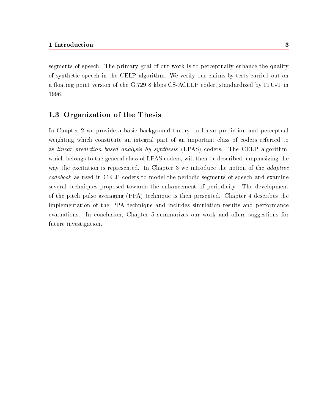segments of speech. The primary goal of our work is to perceptually enhance the quality of synthetic speech in the CELP algorithm. We verify our claims by tests carried out on a floating point version of the G.729 8 kbps CS-ACELP coder, standardized by ITU-T in 1996.

### 1.3 Organization of the Thesis

In Chapter 2 we provide a basic background theory on linear prediction and perceptual weighting which constitute an integral part of an important class of coders referred to as linear prediction based analysis by synthesis (LPAS) coders. The CELP algorithm, which belongs to the general class of LPAS coders, will then be described, emphasizing the way the excitation is represented. In Chapter 3 we introduce the notion of the *adaptive* codebook as used in CELP coders to model the periodic segments of speech and examine several techniques proposed towards the enhancement of periodicity. The development of the pitch pulse averaging (PPA) technique is then presented. Chapter 4 describes the implementation of the PPA technique and includes simulation results and performance evaluations. In conclusion, Chapter 5 summarizes our work and offers suggestions for future investigation.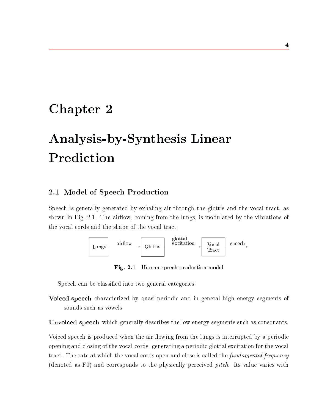# Chapter 2

# Analysis-by-Synthesis Linear Prediction

## 2.1 Model of Speech Production

Speech is generally generated by exhaling air through the glottis and the vocal tract, as shown in Fig. 2.1. The airflow, coming from the lungs, is modulated by the vibrations of the vocal cords and the shape of the vocal tract.



Fig. 2.1 Human speech production model

Speech can be classied into two general categories:

Voiced speech characterized by quasi-periodic and in general high energy segments of sounds such as vowels.

Unvoiced speech which generally describes the low energy segments such as consonants.

Voiced speech is produced when the air flowing from the lungs is interrupted by a periodic opening and closing of the vocal cords, generating a periodic glottal excitation for the vocal tract. The rate at which the vocal cords open and close is called the *fundamental frequency* (denoted as F0) and corresponds to the physically perceived pitch. Its value varies with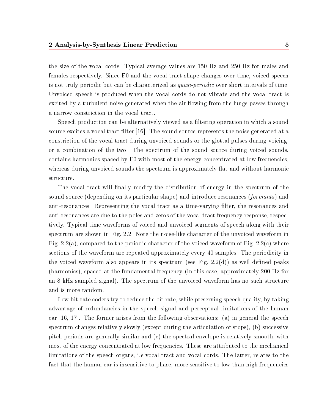the size of the vocal cords. Typical average values are 150 Hz and 250 Hz for males and females respectively. Since F0 and the vocal tract shape changes over time, voiced speech is not truly periodic but can be characterized as quasi-periodic over short intervals of time. Unvoiced speech is produced when the vocal cords do not vibrate and the vocal tract is excited by a turbulent noise generated when the air flowing from the lungs passes through a narrow constriction in the vocal tract.

Speech production can be alternatively viewed as a ltering operation in which a sound source excites a vocal tract filter  $[16]$ . The sound source represents the noise generated at a constriction of the vocal tract during unvoiced sounds or the glottal pulses during voicing, or a combination of the two. The spectrum of the sound source during voiced sounds, contains harmonics spaced by F0 with most of the energy concentrated at low frequencies, whereas during unvoiced sounds the spectrum is approximately flat and without harmonic structure.

The vocal tract will finally modify the distribution of energy in the spectrum of the sound source (depending on its particular shape) and introduce resonances (*formants*) and anti-resonances. Representing the vocal tract as a time-varying lter, the resonances and anti-resonances are due to the poles and zeros of the vocal tract frequency response, respectively. Typical time waveforms of voiced and unvoiced segments of speech along with their spectrum are shown in Fig. 2.2. Note the noise-like character of the unvoiced waveform in Fig. 2.2(a), compared to the periodic character of the voiced waveform of Fig. 2.2(c) where sections of the waveform are repeated approximately every 40 samples. The periodicity in the voiced waveform also appears in its spectrum (see Fig. 2.2(d)) as well defined peaks (harmonics), spaced at the fundamental frequency (in this case, approximately 200 Hz for an 8 kHz sampled signal). The spectrum of the unvoiced waveform has no such structure and is more random.

Low bit-rate coders try to reduce the bit rate, while preserving speech quality, by taking advantage of redundancies in the speech signal and perceptual limitations of the human ear [16, 17]. The former arises from the following observations: (a) in general the speech spectrum changes relatively slowly (except during the articulation of stops), (b) successive pitch periods are generally similar and (c) the spectral envelope is relatively smooth, with most of the energy concentrated at low frequencies. These are attributed to the mechanical limitations of the speech organs, i.e vocal tract and vocal cords. The latter, relates to the fact that the human ear is insensitive to phase, more sensitive to low than high frequencies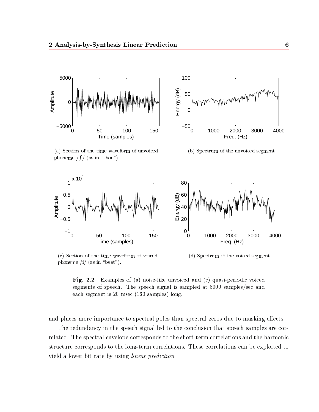

(a) Section of the time waveform of unvoiced phoneme /  $\int$  / (as in "shoe").



(b) Spectrum of the unvoiced segment



(c) Section of the time waveform of voiced phoneme /i/ (as in "beat").

(d) Spectrum of the voiced segment



and places more importance to spectral poles than spectral zeros due to masking effects.

The redundancy in the speech signal led to the conclusion that speech samples are correlated. The spectral envelope corresponds to the short-term correlations and the harmonic structure corresponds to the long-term correlations. These correlations can be exploited to yield a lower bit rate by using linear prediction.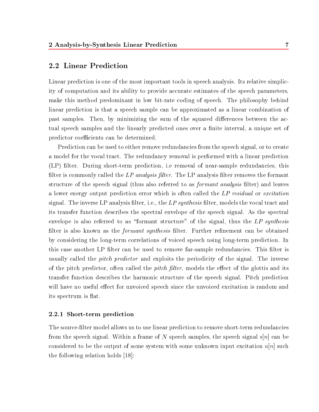### 2.2 Linear Prediction

Linear prediction is one of the most important tools in speech analysis. Its relative simplicity of computation and its ability to provide accurate estimates of the speech parameters, make this method predominant in low bit-rate coding of speech. The philosophy behind linear prediction is that a speech sample can be approximated as a linear combination of past samples. Then, by minimizing the sum of the squared differences between the actual speech samples and the linearly predicted ones over a finite interval, a unique set of predictor coefficients can be determined.

Prediction can be used to either remove redundancies from the speech signal, or to create a model for the vocal tract. The redundancy removal is performed with a linear prediction (LP) filter. During short-term prediction, i.e removal of near-sample redundancies, this filter is commonly called the LP analysis filter. The LP analysis filter removes the formant structure of the speech signal (thus also referred to as *formant analysis* filter) and leaves a lower energy output prediction error which is often called the LP residual or excitation signal. The inverse LP analysis filter, i.e., the  $LP$  synthesis filter, models the vocal tract and its transfer function describes the spectral envelope of the speech signal. As the spectral envelope is also referred to as "formant structure" of the signal, thus the  $LP$  synthesis filter is also known as the *formant synthesis* filter. Further refinement can be obtained by considering the long-term correlations of voiced speech using long-term prediction. In this case another LP filter can be used to remove far-sample redundancies. This filter is usually called the *pitch predictor* and exploits the periodicity of the signal. The inverse of the pitch predictor, often called the *pitch filter*, models the effect of the glottis and its transfer function describes the harmonic structure of the speech signal. Pitch prediction will have no useful effect for unvoiced speech since the unvoiced excitation is random and its spectrum is flat.

#### 2.2.1 Short-term prediction

The source-lter model allows us to use linear prediction to remove short-term redundancies from the speech signal. Within a frame of N speech samples, the speech signal  $s[n]$  can be considered to be the output of some system with some unknown input excitation  $u[n]$  such the following relation holds [18]: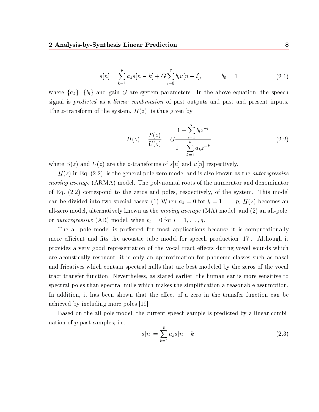$$
s[n] = \sum_{k=1}^{p} a_k s[n-k] + G \sum_{l=0}^{q} b_l u[n-l], \qquad b_0 = 1 \tag{2.1}
$$

where  $\{a_k\}$ ,  $\{b_l\}$  and gain G are system parameters. In the above equation, the speech signal is *predicted* as a *linear combination* of past outputs and past and present inputs. The z-transform of the system,  $H(z)$ , is thus given by

$$
H(z) = \frac{S(z)}{U(z)} = G \frac{1 + \sum_{l=1}^{q} b_l z^{-l}}{1 - \sum_{k=1}^{p} a_k z^{-k}}
$$
(2.2)

where  $S(z)$  and  $U(z)$  are the z-transforms of  $s[n]$  and  $u[n]$  respectively.

 $H(z)$  in Eq. (2.2), is the general pole-zero model and is also known as the *autoregressive* moving average (ARMA) model. The polynomial roots of the numerator and denominator of Eq. (2.2) correspond to the zeros and poles, respectively, of the system. This model can be divided into two special cases: (1) When  $a_k = 0$  for  $k = 1, \ldots, p$ ,  $H(z)$  becomes an all-zero model, alternatively known as the *moving average* (MA) model, and (2) an all-pole or *autoregressive* (AR) model, when  $b_l = 0$  for  $l = 1, \ldots, q$ .

The all-pole model is preferred for most applications because it is computationally more efficient and fits the acoustic tube model for speech production  $|17|$ . Although it provides a very good representation of the vocal tract effects during vowel sounds which are acoustically resonant, it is only an approximation for phoneme classes such as nasal and fricatives which contain spectral nulls that are best modeled by the zeros of the vocal tract transfer function. Nevertheless, as stated earlier, the human ear is more sensitive to spectral poles than spectral nulls which makes the simplication a reasonable assumption. In addition, it has been shown that the effect of a zero in the transfer function can be achieved by including more poles [19].

Based on the all-pole model, the current speech sample is predicted by a linear combination of p past samples; i.e.,

$$
s[n] = \sum_{k=1}^{p} a_k s[n-k]
$$
 (2.3)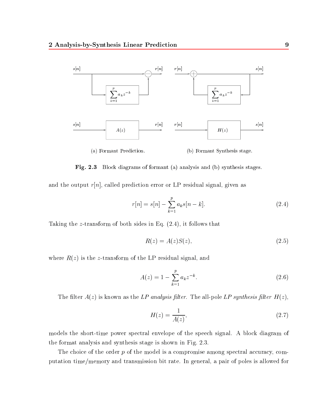

Fig. 2.3 Block diagrams of formant (a) analysis and (b) synthesis stages.

and the output  $r[n]$ , called prediction error or LP residual signal, given as

$$
r[n] = s[n] - \sum_{k=1}^{p} a_k s[n-k].
$$
\n(2.4)

Taking the z-transform of both sides in Eq. (2.4), it follows that

$$
R(z) = A(z)S(z),\tag{2.5}
$$

where  $R(z)$  is the z-transform of the LP residual signal, and

$$
A(z) = 1 - \sum_{k=1}^{p} a_k z^{-k}.
$$
 (2.6)

The filter  $A(z)$  is known as the LP analysis filter. The all-pole LP synthesis filter  $H(z)$ ,

$$
H(z) = \frac{1}{A(z)},\tag{2.7}
$$

models the short-time power spectral envelope of the speech signal. A block diagram of the format analysis and synthesis stage is shown in Fig. 2.3.

The choice of the order  $p$  of the model is a compromise among spectral accuracy, computation time/memory and transmission bit rate. In general, a pair of poles is allowed for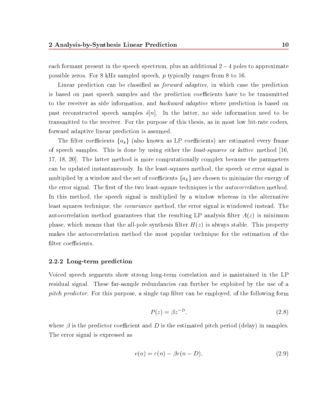each formant present in the speech spectrum, plus an additional  $2 - 4$  poles to approximate possible zeros. For 8 kHz sampled speech, p typically ranges from 8 to 16.

Linear prediction can be classified as *forward adaptive*, in which case the prediction is based on past speech samples and the prediction coefficients have to be transmitted to the receiver as side information, and *backward adaptive* where prediction is based on past reconstructed speech samples  $\hat{s}[n]$ . In the latter, no side information need to be transmitted to the receiver. For the purpose of this thesis, as in most low bit-rate coders, forward adaptive linear prediction is assumed.

The filter coefficients  $\{a_k\}$  (also known as LP coefficients) are estimated every frame of speech samples. This is done by using either the least-squares or lattice method [16, 17, 18, 20]. The latter method is more computationally complex because the parameters can be updated instantaneously. In the least-squares method, the speech or error signal is multiplied by a window and the set of coefficients  $\{a_k\}$  are chosen to minimize the energy of the error signal. The first of the two least-square techniques is the *autocorrelation* method. In this method, the speech signal is multiplied by a window whereas in the alternative least squares technique, the covariance method, the error signal is windowed instead. The autocorrelation method guarantees that the resulting LP analysis filter  $A(z)$  is minimum phase, which means that the all-pole synthesis filter  $H(z)$  is always stable. This property makes the autocorrelation method the most popular technique for the estimation of the filter coefficients.

#### 2.2.2 Long-term prediction

Voiced speech segments show strong long-term correlation and is maintained in the LP residual signal. These far-sample redundancies can further be exploited by the use of a *pitch predictor.* For this purpose, a single tap filter can be employed, of the following form

$$
P(z) = \beta z^{-D},\tag{2.8}
$$

where  $\beta$  is the predictor coefficient and D is the estimated pitch period (delay) in samples. The error signal is expressed as

$$
e(n) = r(n) - \beta r(n - D),\tag{2.9}
$$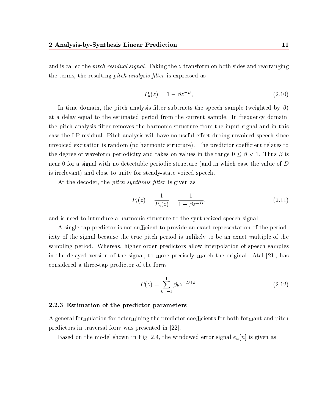and is called the *pitch residual signal*. Taking the z-transform on both sides and rearranging the terms, the resulting *pitch analysis filter* is expressed as

$$
P_a(z) = 1 - \beta z^{-D},\tag{2.10}
$$

In time domain, the pitch analysis filter subtracts the speech sample (weighted by  $\beta$ ) at a delay equal to the estimated period from the current sample. In frequency domain, the pitch analysis filter removes the harmonic structure from the input signal and in this case the LP residual. Pitch analysis will have no useful effect during unvoiced speech since unvoiced excitation is random (no harmonic structure). The predictor coefficient relates to the degree of waveform periodicity and takes on values in the range  $\alpha$  in the range  $\alpha$ near 0 for a signal with no detectable periodic structure (and in which case the value of D is irrelevant) and close to unity for steady-state voiced speech.

At the decoder, the *pitch synthesis filter* is given as

$$
P_s(z) = \frac{1}{P_a(z)} = \frac{1}{1 - \beta z^{-D}},\tag{2.11}
$$

and is used to introduce a harmonic structure to the synthesized speech signal.

A single tap predictor is not sufficient to provide an exact representation of the periodicity of the signal because the true pitch period is unlikely to be an exact multiple of the sampling period. Whereas, higher order predictors allow interpolation of speech samples in the delayed version of the signal, to more precisely match the original. Atal [21], has considered a three-tap predictor of the form

$$
P(z) = \sum_{k=-1}^{1} \beta_k z^{-D+k}.
$$
 (2.12)

#### 2.2.3 Estimation of the predictor parameters

A general formulation for determining the predictor coefficients for both formant and pitch predictors in traversal form was presented in [22].

Based on the model shown in Fig. 2.4, the windowed error signal  $e_w[n]$  is given as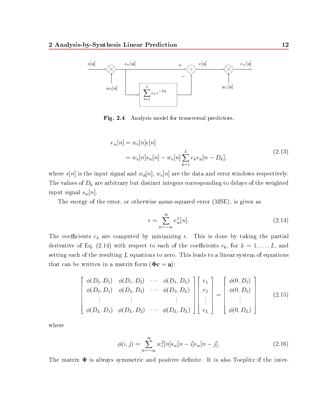

Fig. 2.4 Analysis model for transversal predictors.

$$
e_w[n] = w_e[n]e[n]
$$
  
=  $w_e[n]s_w[n] - w_e[n] \sum_{k=1}^{L} c_k s_w[n - D_k],$  (2.13)

where  $s[n]$  is the input signal and  $w_d[n], w_e[n]$  are the data and error windows respectively. The values of  $D_k$  are arbitrary but distinct integers corresponding to delays of the weighted input signal  $s_w[n]$ .

The energy of the error, or otherwise mean-squared error (MSE), is given as

$$
\epsilon = \sum_{n=-\infty}^{\infty} e_w^2[n].
$$
\n(2.14)

The coefficients  $c_k$  are computed by minimizing  $\epsilon$ . This is done by taking the partial derivative of Eq. (2.14) with respect to each of the coefficients  $c_k$ , for  $k = 1, \ldots, L$ , and setting each of the resulting  $L$  equations to zero. This leads to a linear system of equations that can be written in a matrix form  $(\Phi c = a)$ :

$$
\begin{bmatrix}\n\phi(D_1, D_1) & \phi(D_1, D_2) & \cdots & \phi(D_1, D_L) \\
\phi(D_2, D_1) & \phi(D_2, D_2) & \cdots & \phi(D_2, D_L) \\
\vdots & \vdots & & \vdots \\
\phi(D_L, D_1) & \phi(D_L, D_2) & \cdots & \phi(D_L, D_L)\n\end{bmatrix}\n\begin{bmatrix}\nc_1 \\
c_2 \\
\vdots \\
c_L\n\end{bmatrix}\n=\n\begin{bmatrix}\n\phi(0, D_1) \\
\phi(0, D_2) \\
\vdots \\
\phi(0, D_L)\n\end{bmatrix}
$$
\n(2.15)

where

$$
\phi(i,j) = \sum_{n=-\infty}^{\infty} w_e^2[n]s_w[n-i]s_w[n-j].
$$
\n(2.16)

The matrix  $\Phi$  is always symmetric and positive definite. It is also Toeplitz if the inter-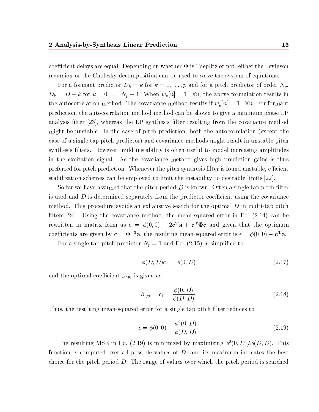coefficient delays are equal. Depending on whether  $\Phi$  is Toeplitz or not, either the Levinson recursion or the Cholesky decomposition can be used to solve the system of equations.

For a formant predictor  $D_k = k$  for  $k = 1, \ldots, p$  and for a pitch predictor of order  $N_p$ ,  $\mu$  ,  $\mu$  ,  $\mu$  is the above for  $\mu$  . The above formulation results in the above formulation results in  $\mu$ the autocorrelation method. The covariance method results if wd[n]=1 8n. For formant prediction, the autocorrelation method method can be shown to give a minimum phase LP analysis filter [23], whereas the LP synthesis filter resulting from the covariance method might be unstable. In the case of pitch prediction, both the autocorrelation (except the case of a single tap pitch predictor) and covariance methods might result in unstable pitch synthesis filters. However, mild instability is often useful to model increasing amplitudes in the excitation signal. As the covariance method gives high prediction gains is thus preferred for pitch prediction. Whenever the pitch synthesis filter is found unstable, efficient stabilization schemes can be employed to limit the instability to desirable limits [22].

So far we have assumed that the pitch period  $D$  is known. Often a single tap pitch filter is used and  $D$  is determined separately from the predictor coefficient using the covariance method. This procedure avoids an exhaustive search for the optimal  $D$  in multi-tap pitch filters [24]. Using the covariance method, the mean-squared error in Eq.  $(2.14)$  can be rewritten in matrix form as  $\epsilon = \varphi(0,0) - z\mathbf{c}$  a + c  $\boldsymbol{\Psi}\mathbf{c}$  and given that the optimum coefficients are given by  $c = \Psi - a$ , the resulting mean-squared error is  $\epsilon = \varphi(0,0) - c$  a.

For a single tap pitch predictor  $N_p = 1$  and Eq. (2.15) is simplified to

$$
\phi(D, D)c_1 = \phi(0, D) \tag{2.17}
$$

and the optimal coefficient  $\beta_{opt}$  is given as

$$
\beta_{opt} = c_1 = \frac{\phi(0, D)}{\phi(D, D)}.
$$
\n(2.18)

Thus, the resulting mean-squared error for a single tap pitch filter reduces to

$$
\epsilon = \phi(0,0) - \frac{\phi^2(0,D)}{\phi(D,D)}.\tag{2.19}
$$

The resulting MSE in Eq. (2.19) is minimized by maximizing  $\phi^2(0, D)/\phi(D, D)$ . This function is computed over all possible values of  $D$ , and its maximum indicates the best choice for the pitch period  $D$ . The range of values over which the pitch period is searched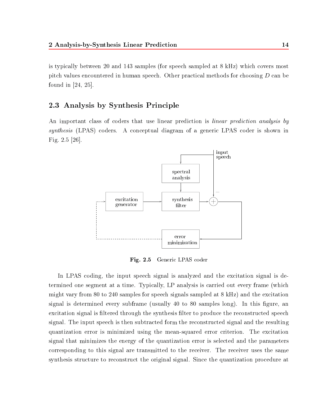is typically between 20 and 143 samples (for speech sampled at  $8 \text{ kHz}$ ) which covers most pitch values encountered in human speech. Other practical methods for choosing D can be found in [24, 25].

### 2.3 Analysis by Synthesis Principle

An important class of coders that use linear prediction is *linear prediction analysis by* synthesis (LPAS) coders. A conceptual diagram of a generic LPAS coder is shown in Fig. 2.5 [26].



Fig. 2.5 Generic LPAS coder

In LPAS coding, the input speech signal is analyzed and the excitation signal is determined one segment at a time. Typically, LP analysis is carried out every frame (which might vary from 80 to 240 samples for speech signals sampled at 8 kHz) and the excitation signal is determined every subframe (usually  $40$  to  $80$  samples long). In this figure, an excitation signal is filtered through the synthesis filter to produce the reconstructed speech signal. The input speech is then subtracted form the reconstructed signal and the resulting quantization error is minimized using the mean-squared error criterion. The excitation signal that minimizes the energy of the quantization error is selected and the parameters corresponding to this signal are transmitted to the receiver. The receiver uses the same synthesis structure to reconstruct the original signal. Since the quantization procedure at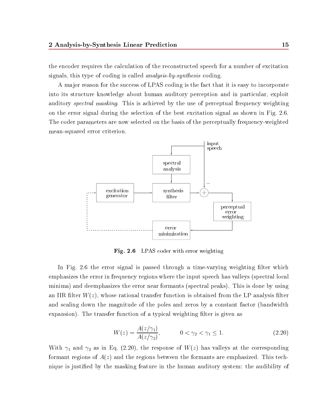the encoder requires the calculation of the reconstructed speech for a number of excitation signals, this type of coding is called analysis-by-synthesis coding.

A ma jor reason for the success of LPAS coding is the fact that it is easy to incorporate into its structure knowledge about human auditory perception and in particular, exploit auditory *spectral masking*. This is achieved by the use of perceptual frequency weighting on the error signal during the selection of the best excitation signal as shown in Fig. 2.6. The coder parameters are now selected on the basis of the perceptually frequency-weighted mean-squared error criterion.



 $\mathbf{F}$  . 2.6 Let  $\mathbf{F}$  be the with error weighting  $\mathbf{F}$ 

In Fig. 2.6 the error signal is passed through a time-varying weighting filter which emphasizes the error in frequency regions where the input speech has valleys (spectral local minima) and deemphasizes the error near formants (spectral peaks). This is done by using an IIR filter  $W(z)$ , whose rational transfer function is obtained from the LP analysis filter and scaling down the magnitude of the poles and zeros by a constant factor (bandwidth expansion). The transfer function of a typical weighting filter is given as

$$
W(z) = \frac{A(z/\gamma_1)}{A(z/\gamma_2)}, \qquad 0 < \gamma_2 < \gamma_1 \le 1.
$$
 (2.20)

With  $\gamma_1$  and  $\gamma_2$  as in Eq. (2.20), the response of  $W(z)$  has valleys at the corresponding formant regions of  $A(z)$  and the regions between the formants are emphasized. This technique is justied by the masking feature in the human auditory system: the audibility of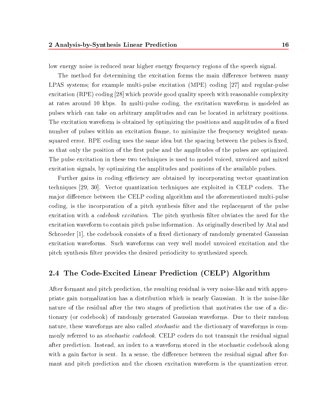low energy noise is reduced near higher energy frequency regions of the speech signal.

The method for determining the excitation forms the main difference between many LPAS systems; for example multi-pulse excitation (MPE) coding [27] and regular-pulse excitation (RPE) coding [28] which provide good quality speech with reasonable complexity at rates around 10 kbps. In multi-pulse coding, the excitation waveform is modeled as pulses which can take on arbitrary amplitudes and can be located in arbitrary positions. The excitation waveform is obtained by optimizing the positions and amplitudes of a fixed number of pulses within an excitation frame, to minimize the frequency weighted meansquared error. RPE coding uses the same idea but the spacing between the pulses is fixed, so that only the position of the first pulse and the amplitudes of the pulses are optimized. The pulse excitation in these two techniques is used to model voiced, unvoiced and mixed excitation signals, by optimizing the amplitudes and positions of the available pulses.

Further gains in coding efficiency are obtained by incorporating vector quantization techniques [29, 30]. Vector quantization techniques are exploited in CELP coders. The major difference between the CELP coding algorithm and the aforementioned multi-pulse coding, is the incorporation of a pitch synthesis filter and the replacement of the pulse excitation with a *codebook excitation*. The pitch synthesis filter obviates the need for the excitation waveform to contain pitch pulse information. As originally described by Atal and Schroeder [1], the codebook consists of a fixed dictionary of randomly generated Gaussian excitation waveforms. Such waveforms can very well model unvoiced excitation and the pitch synthesis lter provides the desired periodicity to synthesized speech.

### 2.4 The Code-Excited Linear Prediction (CELP) Algorithm

After formant and pitch prediction, the resulting residual is very noise-like and with appropriate gain normalization has a distribution which is nearly Gaussian. It is the noise-like nature of the residual after the two stages of prediction that motivates the use of a dictionary (or codebook) of randomly generated Gaussian waveforms. Due to their random nature, these waveforms are also called stochastic and the dictionary of waveforms is commonly referred to as *stochastic codebook*. CELP coders do not transmit the residual signal after prediction. Instead, an index to a waveform stored in the stochastic codebook along with a gain factor is sent. In a sense, the difference between the residual signal after formant and pitch prediction and the chosen excitation waveform is the quantization error.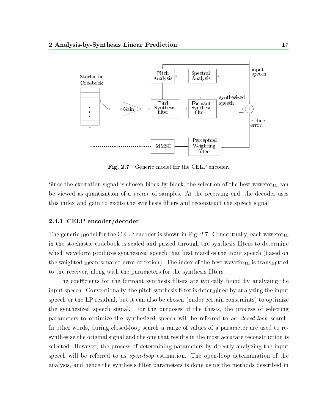

Fig. 2.7 Generic model for the CELP encoder.

Since the excitation signal is chosen block by block, the selection of the best waveform can be viewed as quantization of a *vector* of samples. At the receiving end, the decoder uses this index and gain to excite the synthesis filters and reconstruct the speech signal.

#### 2.4.1 CELP encoder/decoder

The generic model for the CELP encoder is shown in Fig. 2.7. Conceptually, each waveform in the stochastic codebook is scaled and passed through the synthesis filters to determine which waveform produces synthesized speech that best matches the input speech (based on the weighted mean-squared error criterion). The index of the best waveform is transmitted to the receiver, along with the parameters for the synthesis filters.

The coefficients for the formant synthesis filters are typically found by analyzing the input speech. Conventionally, the pitch synthesis filter is determined by analyzing the input speech or the LP residual, but it can also be chosen (under certain constraints) to optimize the synthesized speech signal. For the purposes of the thesis, the process of selecting parameters to optimize the synthesized speech will be referred to as closed-loop search. In other words, during closed-loop search a range of values of a parameter are used to resynthesize the original signal and the one that results in the most accurate reconstruction is selected. However, the process of determining parameters by directly analyzing the input speech will be referred to as open-loop estimation. The open-loop determination of the analysis, and hence the synthesis lter parameters is done using the methods described in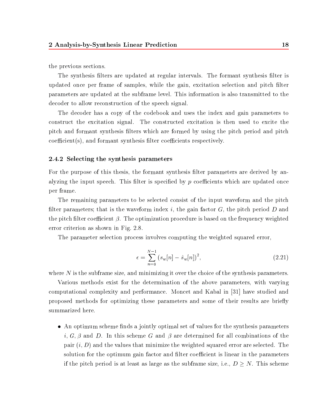the previous sections.

The synthesis filters are updated at regular intervals. The formant synthesis filter is updated once per frame of samples, while the gain, excitation selection and pitch filter parameters are updated at the subframe level. This information is also transmitted to the decoder to allow reconstruction of the speech signal.

The decoder has a copy of the codebook and uses the index and gain parameters to construct the excitation signal. The constructed excitation is then used to excite the pitch and formant synthesis lters which are formed by using the pitch period and pitch  $coefficient(s)$ , and formant synthesis filter coefficients respectively.

#### 2.4.2 Selecting the synthesis parameters

For the purpose of this thesis, the formant synthesis filter parameters are derived by analyzing the input speech. This filter is specified by  $p$  coefficients which are updated once per frame.

The remaining parameters to be selected consist of the input waveform and the pitch filter parameters; that is the waveform index i, the gain factor  $G$ , the pitch period  $D$  and the pitch filter coefficient  $\beta$ . The optimization procedure is based on the frequency weighted error criterion as shown in Fig. 2.8.

The parameter selection process involves computing the weighted squared error,

$$
\epsilon = \sum_{n=0}^{N-1} (s_w[n] - \hat{s}_w[n])^2,\tag{2.21}
$$

where  $N$  is the subframe size, and minimizing it over the choice of the synthesis parameters.

Various methods exist for the determination of the above parameters, with varying computational complexity and performance. Moncet and Kabal in [31] have studied and proposed methods for optimizing these parameters and some of their results are briefly summarized here.

• An optimum scheme finds a jointly optimal set of values for the synthesis parameters i, G,  $\beta$  and D. In this scheme G and  $\beta$  are determined for all combinations of the pair  $(i, D)$  and the values that minimize the weighted squared error are selected. The solution for the optimum gain factor and filter coefficient is linear in the parameters if the pitch period is at least as large as the subframe size, i.e., D N. This scheme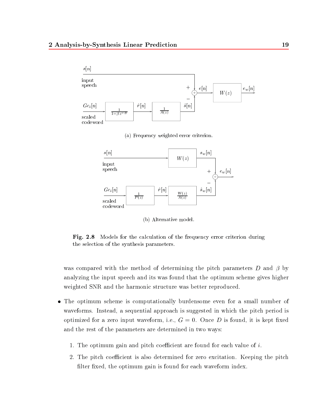



(b) Alternative model.

Fig. 2.8 Models for the calculation of the frequency error criterion during the selection of the synthesis parameters.

was compared with the method of determining the pitch parameters D and  $\beta$  by analyzing the input speech and its was found that the optimum scheme gives higher weighted SNR and the harmonic structure was better reproduced.

- The optimum scheme is computationally burdensome even for <sup>a</sup> small number of waveforms. Instead, a sequential approach is suggested in which the pitch period is optimized for a zero input waveform, i.e.,  $G = 0$ . Once D is found, it is kept fixed and the rest of the parameters are determined in two ways:
	- 1. The optimum gain and pitch coefficient are found for each value of  $i$ .
	- 2. The pitch coefficient is also determined for zero excitation. Keeping the pitch filter fixed, the optimum gain is found for each waveform index.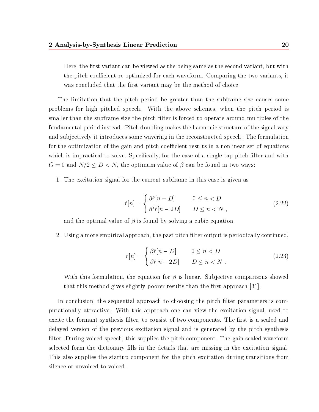Here, the first variant can be viewed as the being same as the second variant, but with the pitch coefficient re-optimized for each waveform. Comparing the two variants, it was concluded that the first variant may be the method of choice.

The limitation that the pitch period be greater than the subframe size causes some problems for high pitched speech. With the above schemes, when the pitch period is smaller than the subframe size the pitch filter is forced to operate around multiples of the fundamental period instead. Pitch doubling makes the harmonic structure of the signal vary and subjectively it introduces some wavering in the reconstructed speech. The formulation for the optimization of the gain and pitch coefficient results in a nonlinear set of equations which is impractical to solve. Specifically, for the case of a single tap pitch filter and with  $G$  and  $G$  and  $G$  and  $G$  and  $G$  and  $G$  and  $G$  in two waves:  $G$  in two ways:  $G$  in two ways:  $G$  in two ways:  $G$  in two ways:  $G$  in the optimum value of  $G$  in the optimum value of  $G$  in the optimum value of  $G$ 

1. The excitation signal for the current subframe in this case is given as

$$
\hat{r}[n] = \begin{cases} \beta \hat{r}[n-D] & 0 \le n < D \\ \beta^2 \hat{r}[n-2D] & D \le n < N \end{cases}
$$
\n(2.22)

and the optimal value of  $\beta$  is found by solving a cubic equation.

2. Using a more empirical approach, the past pitch filter output is periodically continued,

$$
\hat{r}[n] = \begin{cases} \beta \hat{r}[n-D] & 0 \le n < D \\ \beta \hat{r}[n-2D] & D \le n < N \end{cases}
$$
\n(2.23)

With this formulation, the equation for  $\beta$  is linear. Subjective comparisons showed that this method gives slightly poorer results than the first approach  $[31]$ .

In conclusion, the sequential approach to choosing the pitch filter parameters is computationally attractive. With this approach one can view the excitation signal, used to excite the formant synthesis filter, to consist of two components. The first is a scaled and delayed version of the previous excitation signal and is generated by the pitch synthesis filter. During voiced speech, this supplies the pitch component. The gain scaled waveform selected form the dictionary lls in the details that are missing in the excitation signal. This also supplies the startup component for the pitch excitation during transitions from silence or unvoiced to voiced.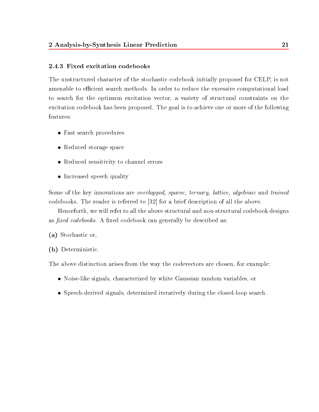#### 2.4.3 Fixed excitation codebooks

The unstructured character of the stochastic codebook initially proposed for CELP, is not amenable to efficient search methods. In order to reduce the excessive computational load to search for the optimum excitation vector, a variety of structural constraints on the excitation codebook has been proposed. The goal is to achieve one or more of the following features:

- Fast search procedures
- Reduced storage space
- Reduced sensitivity to channel errors
- Increased speech quality

Some of the key innovations are *overlapped, sparse, ternary, lattice, algebraic* and *trained* codebooks. The reader is referred to [32] for a brief description of all the above.

Henceforth, we will refer to all the above structural and non-structural codebook designs as *fixed codebooks*. A fixed codebook can generally be described as:

- (a) Stochastic or,
- (b) Deterministic.

The above distinction arises from the way the codevectors are chosen, for example:

- Noise-like signals, characterized by white Gaussian random variables, or
- Speech-derived signals, determined iteratively during the closed-loop search.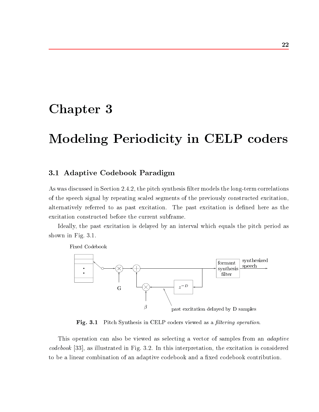# Chapter 3

# Modeling Periodicity in CELP coders

## 3.1 Adaptive Codebook Paradigm

As was discussed in Section 2.4.2, the pitch synthesis filter models the long-term correlations of the speech signal by repeating scaled segments of the previously constructed excitation, alternatively referred to as past excitation. The past excitation is dened here as the excitation constructed before the current subframe.

Ideally, the past excitation is delayed by an interval which equals the pitch period as shown in Fig. 3.1.

Fixed Codebook synthesized formant speech synthesis filter  $z^{-D}$ G G  $\beta$ past excitation delayed by D samples

Fig. 3.1 Pitch Synthesis in CELP coders viewed as a ltering operation.

This operation can also be viewed as selecting a vector of samples from an *adaptive* codebook [33], as illustrated in Fig. 3.2. In this interpretation, the excitation is considered to be a linear combination of an adaptive codebook and a fixed codebook contribution.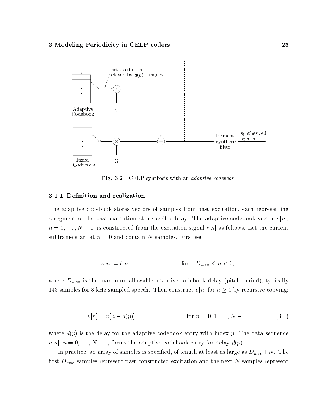

Fig. 3.2 CELP synthesis with an *adaptive codebook*.

#### 3.1.1 Denition and realization

The adaptive codebook stores vectors of samples from past excitation, each representing a segment of the past excitation at a specific delay. The adaptive codebook vector  $v[n]$ , n and  $\alpha$  is constructed from the excitation signal role of  $\alpha$  . In the current signal rate  $\alpha$  as follows. subframe start at  $n = 0$  and contain N samples. First set

$$
v[n] = \hat{r}[n] \qquad \text{for } -D_{\text{max}} \le n < 0,
$$

where  $D_{max}$  is the maximum allowable adaptive codebook delay (pitch period), typically 143 samples for 8 kHz sampled speech. Then construct [n] for n 0 by recursive copying:

$$
v[n] = v[n - d(p)] \qquad \text{for } n = 0, 1, \dots, N - 1,\tag{3.1}
$$

where  $d(p)$  is the delay for the adaptive codebook entry with index p. The data sequence [n], n = 0;:::;N 1, forms the adaptive codebook entry for delay d(p).

In practice, an array of samples is specified, of length at least as large as  $D_{max} + N$ . The first  $D_{max}$  samples represent past constructed excitation and the next N samples represent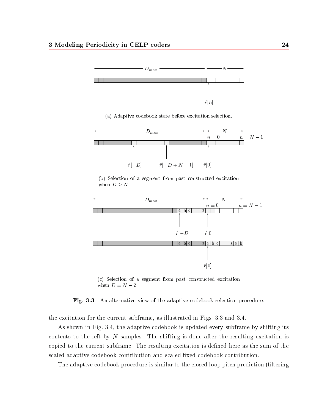

(a) Adaptive codebook state before excitation selection.



(b) Selection of a segment from past constructed excitation when  $D \geq N$ .



(c) Selection of a segment from past constructed excitation when  $D = N - 2$ .

Fig. 3.3 An alternative view of the adaptive codebook selection procedure.

the excitation for the current subframe, as illustrated in Figs. 3.3 and 3.4.

As shown in Fig. 3.4, the adaptive codebook is updated every subframe by shifting its contents to the left by  $N$  samples. The shifting is done after the resulting excitation is copied to the current subframe. The resulting excitation is defined here as the sum of the scaled adaptive codebook contribution and scaled fixed codebook contribution.

The adaptive codebook procedure is similar to the closed loop pitch prediction (filtering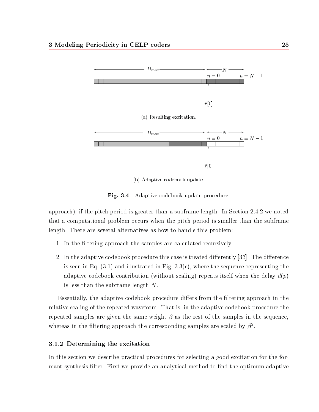

(b) Adaptive codebook update.

Fig. 3.4 Adaptive codebook update procedure.

approach), if the pitch period is greater than a subframe length. In Section 2.4.2 we noted that a computational problem occurs when the pitch period is smaller than the subframe length. There are several alternatives as how to handle this problem:

- 1. In the filtering approach the samples are calculated recursively.
- 2. In the adaptive codebook procedure this case is treated differently [33]. The difference is seen in Eq.  $(3.1)$  and illustrated in Fig.  $3.3(c)$ , where the sequence representing the adaptive codebook contribution (without scaling) repeats itself when the delay  $d(p)$ is less than the subframe length  $N$ .

Essentially, the adaptive codebook procedure differs from the filtering approach in the relative scaling of the repeated waveform. That is, in the adaptive codebook procedure the repeated samples are given the same weight  $\beta$  as the rest of the samples in the sequence. whereas in the filtering approach the corresponding samples are scaled by  $\beta^2$ .

#### 3.1.2 Determining the excitation

In this section we describe practical procedures for selecting a good excitation for the formant synthesis filter. First we provide an analytical method to find the optimum adaptive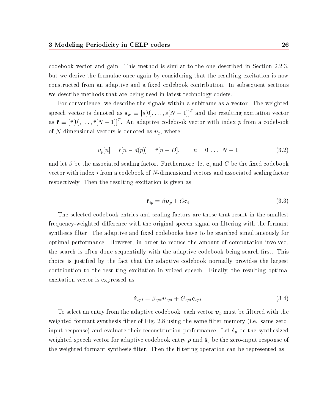codebook vector and gain. This method is similar to the one described in Section 2.2.3, but we derive the formulae once again by considering that the resulting excitation is now constructed from an adaptive and a fixed codebook contribution. In subsequent sections we describe methods that are being used in latest technology coders.

For convenience, we describe the signals within a subframe as a vector. The weighted speech vector is denoted as  $\mathbf{s_w} \equiv [s[0],\ldots,s[N-1]]^\top$  and the resulting excitation vector as  ${\bf r}\equiv |r[0],\ldots,r|N-1|$  . An adaptive codebook vector with index  $p$  from a codebook of N-dimensional vectors is denoted as  $v_p$ , where

$$
v_p[n] = \hat{r}[n - d(p)] = \hat{r}[n - D], \qquad n = 0, \dots, N - 1,
$$
\n(3.2)

and let  $\beta$  be the associated scaling factor. Furthermore, let  $c_i$  and G be the fixed codebook vector with index i from a codebook of N-dimensional vectors and associated scaling factor respectively. Then the resulting excitation is given as

$$
\hat{\mathbf{r}}_{ip} = \beta \mathbf{v}_p + G \mathbf{c}_i. \tag{3.3}
$$

The selected codebook entries and scaling factors are those that result in the smallest frequency-weighted difference with the original speech signal on filtering with the formant synthesis filter. The adaptive and fixed codebooks have to be searched simultaneously for optimal performance. However, in order to reduce the amount of computation involved, the search is often done sequentially with the adaptive codebook being search first. This choice is justied by the fact that the adaptive codebook normally provides the largest contribution to the resulting excitation in voiced speech. Finally, the resulting optimal excitation vector is expressed as

$$
\hat{\mathbf{r}}_{opt} = \beta_{opt} \mathbf{v}_{opt} + G_{opt} \mathbf{c}_{opt}.
$$
\n(3.4)

To select an entry from the adaptive codebook, each vector  $v_p$  must be filtered with the weighted formant synthesis filter of Fig. 2.8 using the same filter memory (i.e. same zeroinput response) and evaluate their reconstruction performance. Let  $\hat{\mathbf{s}}_p$  be the synthesized weighted speech vector for adaptive codebook entry  $p$  and  $\hat{\mathbf{s}}_0$  be the zero-input response of the weighted formant synthesis filter. Then the filtering operation can be represented as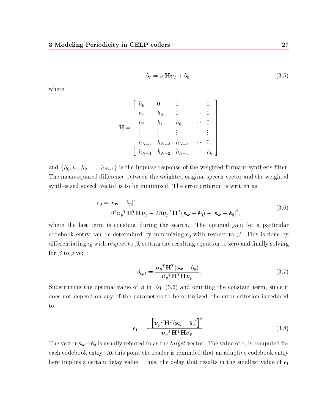$$
\hat{\mathbf{s}}_p = \beta \, \mathbf{H} \mathbf{v}_p + \hat{\mathbf{s}}_0. \tag{3.5}
$$

where

$$
\mathbf{H} = \begin{bmatrix} h_0 & 0 & 0 & \cdots & 0 \\ h_1 & h_0 & 0 & \cdots & 0 \\ h_2 & h_1 & h_0 & \cdots & 0 \\ \vdots & \vdots & \vdots & & \vdots \\ h_{N-2} & h_{N-3} & h_{N-4} & \cdots & 0 \\ h_{N-1} & h_{N-2} & h_{N-3} & \cdots & h_0 \end{bmatrix}
$$

and  $\{h_0, h_1, h_2, \ldots, h_{N-1}\}$  is the impulse response of the weighted formant synthesis filter. The mean-squared difference between the weighted original speech vector and the weighted synthesized speech vector is to be minimized. The error criterion is written as

$$
\epsilon_0 = |\mathbf{s_w} - \mathbf{\hat{s}}_p|^2
$$
  
=  $\beta^2 \mathbf{v}_p^T \mathbf{H}^T \mathbf{H} \mathbf{v}_p - 2\beta \mathbf{v}_p^T \mathbf{H}^T (\mathbf{s_w} - \mathbf{\hat{s}}_0) + |\mathbf{s_w} - \mathbf{\hat{s}}_0|^2,$  (3.6)

where the last term is constant during the search. The optimal gain for a particular codebook entry can be determined by minimizing  $\epsilon_0$  with respect to  $\beta$ . This is done by differentiating  $\epsilon_0$  with respect to  $\beta$ , setting the resulting equation to zero and finally solving for  $\beta$  to give:

$$
\beta_{opt} = \frac{\boldsymbol{v}_p^T \mathbf{H}^T (\mathbf{s_w} - \hat{\mathbf{s}}_0)}{\boldsymbol{v}_p^T \mathbf{H}^T \mathbf{H} \boldsymbol{v}_p}.
$$
\n(3.7)

Substituting the optimal value of  $\beta$  in Eq. (3.6) and omitting the constant term, since it does not depend on any of the parameters to be optimized, the error criterion is reduced to

$$
\epsilon_1 = -\frac{\left[\mathbf{v}_p{}^T \mathbf{H}^T (\mathbf{s_w} - \mathbf{\hat{s}}_0)\right]^2}{\mathbf{v}_p{}^T \mathbf{H}^T \mathbf{H} \mathbf{v}_p}.\tag{3.8}
$$

The vector sw  $\sim$   $\sim$  0 is usually referred to as the target vector. The value of 1 is computed for  $\sim$ each codebook entry. At this point the reader is reminded that an adaptive codebook entry here implies a certain delay value. Thus, the delay that results in the smallest value of  $\epsilon_1$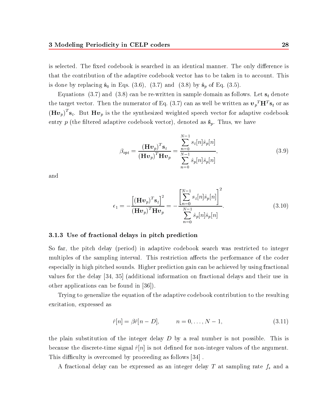is selected. The fixed codebook is searched in an identical manner. The only difference is that the contribution of the adaptive codebook vector has to be taken in to account. This is done by replacing  $\hat{\mathbf{s}}_0$  in Eqs. (3.6), (3.7) and (3.8) by  $\hat{\mathbf{s}}_p$  of Eq. (3.5).

Equations (3.7) and (3.8) can be re-written in sample domain as follows. Let  $s_t$  denote the target vector. Then the numerator of Eq. (5.7) can as well be written as  $\bm{v}_p^{-}$  **H**  $\bm{\mathrm{s}}_t$  or as  $(\mathbf{H}\boldsymbol{v}_p)$   $\mathbf{s}_t$ . But  $\mathbf{H}\boldsymbol{v}_p$  is the the synthesized weighted speech vector for adaptive codebook entry  $p$  (the filtered adaptive codebook vector), denoted as  $\hat{\mathbf{s}}_p$ . Thus, we have

$$
\beta_{opt} = \frac{\left(\mathbf{H} \mathbf{v}_p\right)^T \mathbf{s}_t}{\left(\mathbf{H} \mathbf{v}_p\right)^T \mathbf{H} \mathbf{v}_p} = \frac{\sum_{n=0}^{N-1} s_t[n] \hat{s}_p[n]}{\sum_{n=0}^{N-1} \hat{s}_p[n] \hat{s}_p[n]},
$$
\n(3.9)

and

$$
\epsilon_1 = -\frac{\left[\left(\mathbf{H}\boldsymbol{v}_p\right)^T \mathbf{s}_t\right]^2}{\left(\mathbf{H}\boldsymbol{v}_p\right)^T \mathbf{H} \mathbf{v}_p} = -\frac{\left[\sum_{n=0}^{N-1} s_t[n] \hat{s}_p[n]\right]^2}{\sum_{n=0}^{N-1} \hat{s}_p[n] \hat{s}_p[n]}.
$$
\n(3.10)

#### 3.1.3 Use of fractional delays in pitch prediction

So far, the pitch delay (period) in adaptive codebook search was restricted to integer multiples of the sampling interval. This restriction affects the performance of the coder especially in high pitched sounds. Higher prediction gain can be achieved by using fractional values for the delay [34, 35] (additional information on fractional delays and their use in other applications can be found in [36]).

Trying to generalize the equation of the adaptive codebook contribution to the resulting excitation, expressed as

$$
\hat{r}[n] = \beta \hat{r}[n - D], \qquad n = 0, \dots, N - 1,\tag{3.11}
$$

the plain substitution of the integer delay  $D$  by a real number is not possible. This is because the discrete-time signal  $\hat{r}[n]$  is not defined for non-integer values of the argument. This difficulty is overcomed by proceeding as follows [34].

A fractional delay can be expressed as an integer delay  $T$  at sampling rate  $f_s$  and a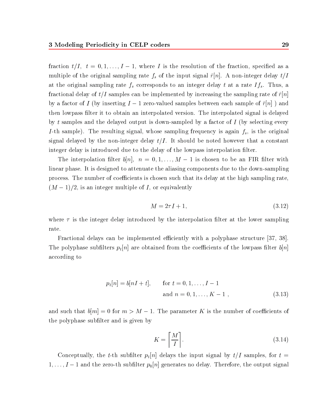fraction the  $\{f \in \{1, \ldots, n\} \mid \{f \in \{1, \ldots, n\}\}$  is the fraction of the fraction of the fraction, specially specified as a specified as a specified as a specified as a specified as a specified as a specified as a specif multiple of the original sampling rate  $f_s$  of the input signal  $\hat{r}[n]$ . A non-integer delay  $t/I$ at the original sampling rate  $f_s$  corresponds to an integer delay t at a rate  $If_s$ . Thus, a fractional delay of  $t/I$  samples can be implemented by increasing the sampling rate of  $\hat{r}[n]$ by a factor of I (by inserting I 1 zero-valued samples between each sample of r^[n] ) and then lowpass lter it to obtain an interpolated version. The interpolated signal is delayed by t samples and the delayed output is down-sampled by a factor of  $I$  (by selecting every I-th sample). The resulting signal, whose sampling frequency is again  $f_s$ , is the original signal delayed by the non-integer delay  $t/I$ . It should be noted however that a constant integer delay is introduced due to the delay of the lowpass interpolation filter.

The interpretation of the interpretation in the left of the left the second the first method in FIRE control in linear phase. It is designed to attenuate the aliasing components due to the down-sampling process. The number of coefficients is chosen such that its delay at the high sampling rate, (M  $\sim$  ), is an integer multiple of  $\sim$  is an integer multiple of  $\sim$ 

$$
M = 2\tau I + 1,\tag{3.12}
$$

where  $\tau$  is the integer delay introduced by the interpolation filter at the lower sampling rate.

Fractional delays can be implemented efficiently with a polyphase structure [37, 38]. The polyphase subfilters  $p_t[n]$  are obtained from the coefficients of the lowpass filter  $b[n]$ according to

$$
p_t[n] = b[nI + t], \quad \text{for } t = 0, 1, ..., I - 1
$$
  
and  $n = 0, 1, ..., K - 1$ , (3.13)

and such that b[m]=0 for models of models of  $\mathbf{F}$  is the parameter  $\mathbf{F}$  is the number of coecients of coecients of coecients of coecients of coecients of coecients of coecients of coecients of coecients of coecien the polyphase sublter and is given by

$$
K = \left\lceil \frac{M}{I} \right\rceil. \tag{3.14}
$$

Conceptually, the t-th subfilter  $p_t[n]$  delays the input signal by  $t/I$  samples, for  $t =$ 1;:::;I 1 and the zero-th sublter p0[n] generates no delay. Therefore, the output signal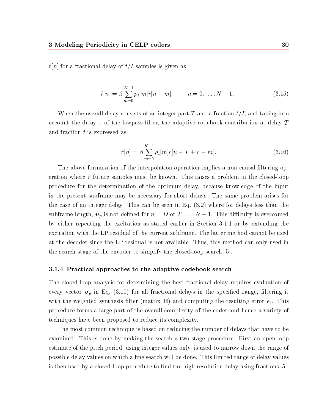$\hat{r}[n]$  for a fractional delay of  $t/I$  samples is given as

$$
\hat{r}[n] = \beta \sum_{m=0}^{K-1} p_t[m]\hat{r}[n-m], \qquad n = 0, \dots, N-1.
$$
\n(3.15)

When the overall delay consists of an integer part T and a fraction  $t/I$ , and taking into account the delay  $\tau$  of the lowpass filter, the adaptive codebook contribution at delay T and fraction t is expressed as

$$
\hat{r}[n] = \beta \sum_{m=0}^{K-1} p_t[m]\hat{r}[n - T + \tau - m]. \tag{3.16}
$$

The above formulation of the interpolation operation implies a non-causal filtering operation where  $\tau$  future samples must be known. This raises a problem in the closed-loop procedure for the determination of the optimum delay, because knowledge of the input in the present subframe may be necessary for short delays. The same problem arises for the case of an integer delay. This can be seen in Eq. (3.2) where for delays less than the subframe length, p is not decreased for n  $\alpha$  and  $\alpha$  is over  $\alpha$  . This discussion is overcomed to  $\alpha$ by either repeating the excitation as stated earlier in Section 3.1.1 or by extending the excitation with the LP residual of the current subframe. The latter method cannot be used at the decoder since the LP residual is not available. Thus, this method can only used in the search stage of the encoder to simplify the closed-loop search [5].

#### 3.1.4 Practical approaches to the adaptive codebook search

The closed-loop analysis for determining the best fractional delay requires evaluation of every vector  $v_p$  in Eq. (3.10) for all fractional delays in the specified range, filtering it with the weighted synthesis filter (matrix **H**) and computing the resulting error  $\epsilon_1$ . This procedure forms a large part of the overall complexity of the coder and hence a variety of techniques have been proposed to reduce its complexity.

The most common technique is based on reducing the number of delays that have to be examined. This is done by making the search a two-stage procedure. First an open-loop estimate of the pitch period, using integer values only, is used to narrow down the range of possible delay values on which a fine search will be done. This limited range of delay values is then used by a closed-loop procedure to find the high-resolution delay using fractions  $[5]$ .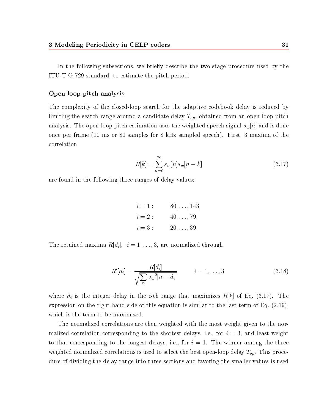In the following subsections, we briefly describe the two-stage procedure used by the ITU-T G.729 standard, to estimate the pitch period.

#### Open-loop pitch analysis

The complexity of the closed-loop search for the adaptive codebook delay is reduced by limiting the search range around a candidate delay  $T_{op}$ , obtained from an open loop pitch analysis. The open-loop pitch estimation uses the weighted speech signal  $s_w[n]$  and is done once per frame (10 ms or 80 samples for 8 kHz sampled speech). First, 3 maxima of the correlation

$$
R[k] = \sum_{n=0}^{79} s_w[n]s_w[n-k]
$$
\n(3.17)

are found in the following three ranges of delay values:

$$
i = 1: \t 80, ..., 143,
$$
  
\n
$$
i = 2: \t 40, ..., 79,
$$
  
\n
$$
i = 3: \t 20, ..., 39.
$$

The retained maxima  $R[d_i], i = 1, \ldots, 3$ , are normalized through

$$
R'[d_i] = \frac{R[d_i]}{\sqrt{\sum_{n} s_w^2 [n - d_i]}} \qquad i = 1, ..., 3
$$
 (3.18)

where  $d_i$  is the integer delay in the *i*-th range that maximizes  $R[k]$  of Eq. (3.17). The expression on the right-hand side of this equation is similar to the last term of Eq. (2.19), which is the term to be maximized.

The normalized correlations are then weighted with the most weight given to the normalized correlation corresponding to the shortest delays, i.e., for  $i = 3$ , and least weight to that corresponding to the longest delays, i.e., for  $i = 1$ . The winner among the three weighted normalized correlations is used to select the best open-loop delay  $T_{op}$ . This procedure of dividing the delay range into three sections and favoring the smaller values is used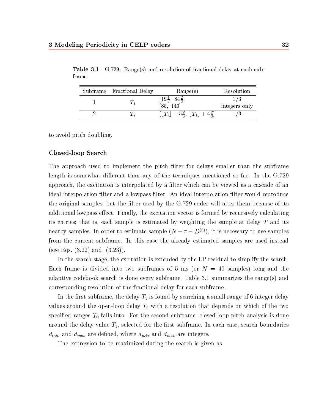| Subframe Fractional Delay | Range(s)                                              | Resolution    |
|---------------------------|-------------------------------------------------------|---------------|
|                           | $\frac{19\frac{1}{3}}{85}$ ,<br>1431                  | integers only |
|                           | $-5\frac{2}{3}, \ \lfloor T_1 \rfloor + 4\frac{2}{3}$ |               |

Table 3.1  $3.729:$  Range(s) and resolution of fractional delay at each subframe.

to avoid pitch doubling.

#### Closed-loop Search

The approach used to implement the pitch filter for delays smaller than the subframe length is somewhat different than any of the techniques mentioned so far. In the G.729 approach, the excitation is interpolated by a filter which can be viewed as a cascade of an ideal interpolation filter and a lowpass filter. An ideal interpolation filter would reproduce the original samples, but the filter used by the  $G.729$  coder will alter them because of its additional lowpass effect. Finally, the excitation vector is formed by recursively calculating its entries; that is, each sample is estimated by weighting the sample at delay  $T$  and its nearby samples. In order to estimate sample ( $N - T - D^{(\varepsilon)})$ ), it is necessary to use samples from the current subframe. In this case the already estimated samples are used instead (see Eqs.  $(3.22)$  and  $(3.23)$ ).

In the search stage, the excitation is extended by the LP residual to simplify the search. Each frame is divided into two subframes of 5 ms (or  $N = 40$  samples) long and the adaptive codebook search is done every subframe. Table 3.1 summarizes the range(s) and corresponding resolution of the fractional delay for each subframe.

In the first subframe, the delay  $T_1$  is found by searching a small range of 6 integer delay values around the open-loop delay  $T_0$  with a resolution that depends on which of the two specified ranges  $T_0$  falls into. For the second subframe, closed-loop pitch analysis is done around the delay value  $T_1$ , selected for the first subframe. In each case, search boundaries  $d_{min}$  and  $d_{max}$  are defined, where  $d_{min}$  and  $d_{max}$  are integers.

The expression to be maximized during the search is given as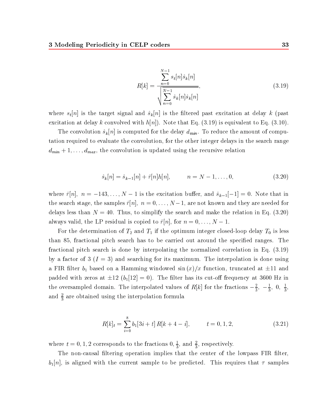$$
R[k] = \frac{\sum_{n=0}^{N-1} s_t[n] \hat{s}_k[n]}{\sqrt{\sum_{n=0}^{N-1} \hat{s}_k[n] \hat{s}_k[n]}},
$$
\n(3.19)

where  $s_t[n]$  is the target signal and  $\hat{s}_k[n]$  is the filtered past excitation at delay k (past excitation at delay k convolved with  $h[n]$ . Note that Eq. (3.19) is equivalent to Eq. (3.10).

The convolution  $\hat{s}_k[n]$  is computed for the delay  $d_{min}$ . To reduce the amount of computation required to evaluate the convolution, for the other integer delays in the search range  $d_{min} + 1, \ldots, d_{max}$ , the convolution is updated using the recursive relation

$$
\hat{s}_k[n] = \hat{s}_{k-1}[n] + \hat{r}[n]h[n], \qquad n = N - 1, ..., 0,
$$
\n(3.20)

where  $\hat{r}[n], n = -143,\ldots,N - 1$  is the excitation buffer, and  $\hat{s}_{k-1}[-1] = 0$ . Note that in the search stage, the samples  $r$  (ii);  $r = 0$ ;  $\sigma$  ,  $r = 0$  are not known and they are needed for a redelays less than  $N = 40$ . Thus, to simplify the search and make the relation in Eq. (3.20) always valid, the LP residual is copied to residual is copied to respect to  $\mathbf{F}$ , for n  $\mathbf{F}$ 

For the determination of  $T_2$  and  $T_1$  if the optimum integer closed-loop delay  $T_0$  is less than 85, fractional pitch search has to be carried out around the specified ranges. The fractional pitch search is done by interpolating the normalized correlation in Eq. (3.19) by a factor of 3  $(I = 3)$  and searching for its maximum. The interpolation is done using a FIR filter  $b_1$  based on a Hamming windowed sin  $(x)/x$  function, truncated at  $\pm 11$  and parameter with zeros at  $p$  (bilde) with  $p$  is constant the site cut-off its cut-off  $\alpha$  is 3600 Hz in  $\alpha$ the oversampled domain. The interpolated values of  $R[k]$  for the fractions  $-\frac{1}{3}$ ,  $-\frac{1}{3}$ ,  $0$ ,  $\frac{1}{3}$ , and  $\frac{1}{3}$  are obtained using the interpolation formula

$$
R[k]_t = \sum_{i=0}^8 b_1[3i+t] R[k+4-i], \qquad t = 0, 1, 2,
$$
\n(3.21)

where  $t = 0, 1, 2$  corresponds to the fractions  $0, \frac{1}{2},$  and  $\frac{1}{2}$ , respectively.

The non-causal filtering operation implies that the center of the lowpass FIR filter,  $b_1[n]$ , is aligned with the current sample to be predicted. This requires that  $\tau$  samples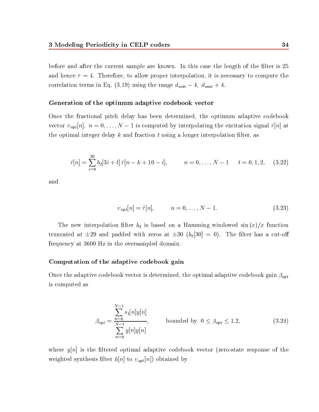before and after the current sample are known. In this case the length of the filter is 25 and hence  $\tau = 4$ . Therefore, to allow proper interpolation, it is necessary to compute the  $\mathbf{I}$  (3.19) using the range dministerm in  $\mathbf{I}$  and  $\mathbf{I}$  and  $\mathbf{I}$  and  $\mathbf{I}$  and  $\mathbf{I}$ 

#### Generation of the optimum adaptive codebook vector

Once the fractional pitch delay has been determined, the optimum adaptive codebook vector optimal  $v$ ; not computed by interpretation  $\mu$  interpretation signal role excitation signal role  $\mu$ the optimal integer delay k and fraction  $t$  using a longer interpolation filter, as

$$
\hat{r}[n] = \sum_{i=0}^{20} b_2[3i+t] \,\hat{r}[n-k+10-i], \qquad n = 0, \ldots, N-1 \qquad t = 0, 1, 2, \quad (3.22)
$$

and

$$
v_{opt}[n] = \hat{r}[n], \qquad n = 0, \dots, N - 1. \tag{3.23}
$$

The new interpolation filter  $b_2$  is based on a Hamming windowed sin $(x)/x$  function truncated at  $\pm 29$  and padded with zeros at  $\pm 30$  (b<sub>2</sub>[30] = 0). The filter has a cut-off frequency at 3600 Hz in the oversampled domain.

#### Computation of the adaptive codebook gain

Once the adaptive codebook vector is determined, the optimal adaptive codebook gain  $\beta_{opt}$ is computed as

$$
\beta_{opt} = \frac{\sum_{n=0}^{N-1} s_t[n]y[n]}{\sum_{n=0}^{N-1} y[n]y[n]}, \qquad \text{bounded by } 0 \le \beta_{opt} \le 1.2,
$$
 (3.24)

where  $y[n]$  is the filtered optimal adaptive codebook vector (zero-state response of the weighted synthesis filter  $h[n]$  to  $v_{opt}[n]$ ) obtained by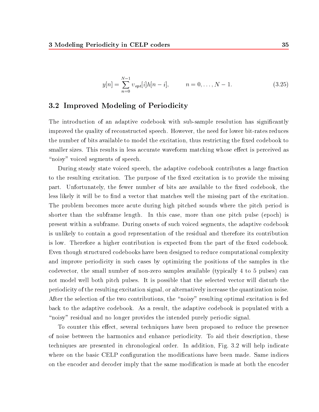$$
y[n] = \sum_{n=0}^{N-1} \nu_{opt}[i]h[n-i], \qquad n = 0, \dots, N-1.
$$
 (3.25)

# 3.2 Improved Modeling of Periodicity

The introduction of an adaptive codebook with sub-sample resolution has significantly improved the quality of reconstructed speech. However, the need for lower bit-rates reduces the number of bits available to model the excitation, thus restricting the fixed codebook to smaller sizes. This results in less accurate waveform matching whose effect is perceived as "noisy" voiced segments of speech.

During steady state voiced speech, the adaptive codebook contributes a large fraction to the resulting excitation. The purpose of the fixed excitation is to provide the missing part. Unfortunately, the fewer number of bits are available to the fixed codebook, the less likely it will be to find a vector that matches well the missing part of the excitation. The problem becomes more acute during high pitched sounds where the pitch period is shorter than the subframe length. In this case, more than one pitch pulse (epoch) is present within a subframe. During onsets of such voiced segments, the adaptive codebook is unlikely to contain a good representation of the residual and therefore its contribution is low. Therefore a higher contribution is expected from the part of the fixed codebook. Even though structured codebooks have been designed to reduce computational complexity and improve periodicity in such cases by optimizing the positions of the samples in the codevector, the small number of non-zero samples available (typically 4 to 5 pulses) can not model well both pitch pulses. It is possible that the selected vector will disturb the periodicity of the resulting excitation signal, or alternatively increase the quantization noise. After the selection of the two contributions, the "noisy" resulting optimal excitation is fed back to the adaptive codebook. As a result, the adaptive codebook is populated with a "noisy" residual and no longer provides the intended purely periodic signal.

To counter this effect, several techniques have been proposed to reduce the presence of noise between the harmonics and enhance periodicity. To aid their description, these techniques are presented in chronological order. In addition, Fig. 3.2 will help indicate where on the basic CELP configuration the modifications have been made. Same indices on the encoder and decoder imply that the same modication is made at both the encoder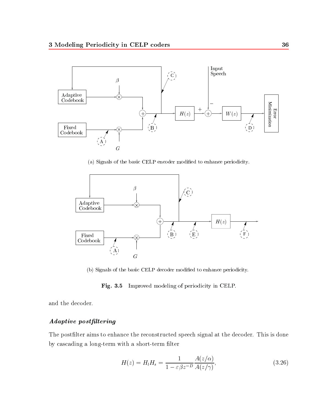

(a) Signals of the basic CELP encoder modified to enhance periodicity.



(b) Signals of the basic CELP decoder modified to enhance periodicity.

Fig. 3.5 Improved modeling of periodicity in CELP.

and the decoder.

# Adaptive postltering

The postfilter aims to enhance the reconstructed speech signal at the decoder. This is done by cascading a long-term with a short-term filter

$$
H(z) = H_l H_s = \frac{1}{1 - \varepsilon \beta z^{-D}} \frac{A(z/\alpha)}{A(z/\gamma)},
$$
\n(3.26)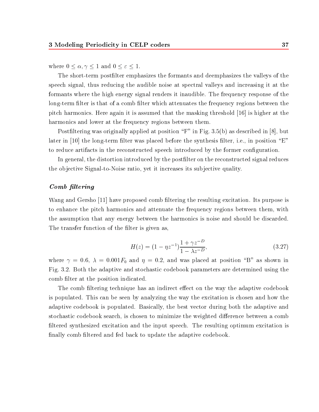where  $0 \equiv 0$  ,  $1 \equiv 7$  and  $0 \equiv 0$  ,  $1 \equiv 7$ 

The short-term postfilter emphasizes the formants and deemphasizes the valleys of the speech signal, thus reducing the audible noise at spectral valleys and increasing it at the formants where the high energy signal renders it inaudible. The frequency response of the long-term filter is that of a comb filter which attenuates the frequency regions between the pitch harmonics. Here again it is assumed that the masking threshold [16] is higher at the harmonics and lower at the frequency regions between them.

Postfiltering was originally applied at position " $F$ " in Fig. 3.5(b) as described in [8], but later in  $[10]$  the long-term filter was placed before the synthesis filter, i.e., in position "E" to reduce artifacts in the reconstructed speech introduced by the former conguration.

In general, the distortion introduced by the postfilter on the reconstructed signal reduces the objective Signal-to-Noise ratio, yet it increases its subjective quality.

#### Comb filtering

Wang and Gersho [11] have proposed comb ltering the resulting excitation. Its purpose is to enhance the pitch harmonics and attenuate the frequency regions between them, with the assumption that any energy between the harmonics is noise and should be discarded. The transfer function of the filter is given as,

$$
H(z) = (1 - \eta z^{-1}) \frac{1 + \gamma z^{-D}}{1 - \lambda z^{-D}},
$$
\n(3.27)

where  $\gamma = 0.6$ ,  $\lambda = 0.001F_0$  and  $\eta = 0.2$ , and was placed at position "B" as shown in Fig. 3.2. Both the adaptive and stochastic codebook parameters are determined using the comb filter at the position indicated.

The comb filtering technique has an indirect effect on the way the adaptive codebook is populated. This can be seen by analyzing the way the excitation is chosen and how the adaptive codebook is populated. Basically, the best vector during both the adaptive and stochastic codebook search, is chosen to minimize the weighted difference between a comb filtered synthesized excitation and the input speech. The resulting optimum excitation is finally comb filtered and fed back to update the adaptive codebook.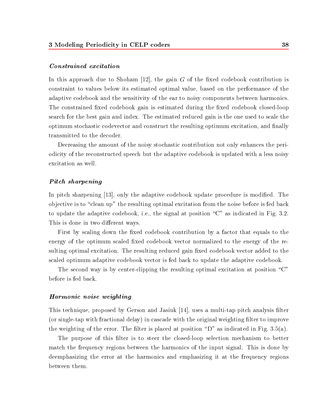#### Constrained excitation

In this approach due to Shoham [12], the gain  $G$  of the fixed codebook contribution is constraint to values below its estimated optimal value, based on the performance of the adaptive codebook and the sensitivity of the ear to noisy components between harmonics. The constrained fixed codebook gain is estimated during the fixed codebook closed-loop search for the best gain and index. The estimated reduced gain is the one used to scale the optimum stochastic codevector and construct the resulting optimum excitation, and finally transmitted to the decoder.

Decreasing the amount of the noisy stochastic contribution not only enhances the periodicity of the reconstructed speech but the adaptive codebook is updated with a less noisy excitation as well.

#### Pitch sharpening

In pitch sharpening [13], only the adaptive codebook update procedure is modified. The objective is to "clean up" the resulting optimal excitation from the noise before is fed back to update the adaptive codebook, i.e., the signal at position \C" as indicated in Fig. 3.2. This is done in two different ways.

First by scaling down the fixed codebook contribution by a factor that equals to the energy of the optimum scaled fixed codebook vector normalized to the energy of the resulting optimal excitation. The resulting reduced gain fixed codebook vector added to the scaled optimum adaptive codebook vector is fed back to update the adaptive codebook.

The second way is by center-clipping the resulting optimal excitation at position  $\degree$ C" before is fed back.

#### Harmonic noise weighting

This technique, proposed by Gerson and Jasiuk [14], uses a multi-tap pitch analysis filter (or single-tap with fractional delay) in cascade with the original weighting filter to improve the weighting of the error. The filter is placed at position "D" as indicated in Fig. 3.5(a).

The purpose of this filter is to steer the closed-loop selection mechanism to better match the frequency regions between the harmonics of the input signal. This is done by deemphasizing the error at the harmonics and emphasizing it at the frequency regions between them.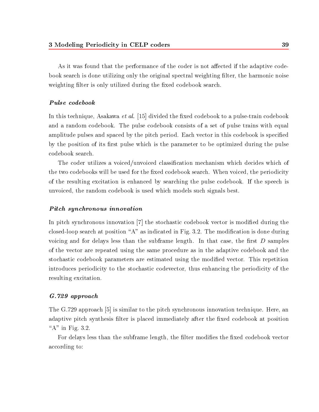As it was found that the performance of the coder is not affected if the adaptive codebook search is done utilizing only the original spectral weighting filter, the harmonic noise weighting filter is only utilized during the fixed codebook search.

#### Pulse codebook

In this technique, Asakawa *et al.* [15] divided the fixed codebook to a pulse-train codebook and a random codebook. The pulse codebook consists of a set of pulse trains with equal amplitude pulses and spaced by the pitch period. Each vector in this codebook is specied by the position of its first pulse which is the parameter to be optimized during the pulse codebook search.

The coder utilizes a voiced/unvoiced classification mechanism which decides which of the two codebooks will be used for the fixed codebook search. When voiced, the periodicity of the resulting excitation is enhanced by searching the pulse codebook. If the speech is unvoiced, the random codebook is used which models such signals best.

#### Pitch synchronous innovation

In pitch synchronous innovation [7] the stochastic codebook vector is modified during the closed-loop search at position "A" as indicated in Fig. 3.2. The modification is done during voicing and for delays less than the subframe length. In that case, the first  $D$  samples of the vector are repeated using the same procedure as in the adaptive codebook and the stochastic codebook parameters are estimated using the modied vector. This repetition introduces periodicity to the stochastic codevector, thus enhancing the periodicity of the resulting excitation.

## G.729 approach

The G.729 approach [5] is similar to the pitch synchronous innovation technique. Here, an adaptive pitch synthesis filter is placed immediately after the fixed codebook at position " $A$ " in Fig. 3.2.

For delays less than the subframe length, the filter modifies the fixed codebook vector according to: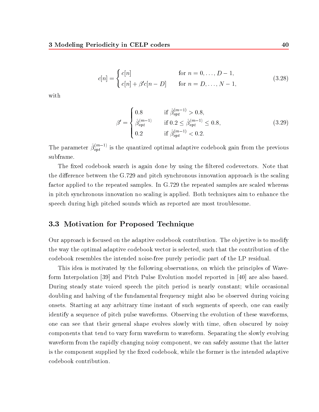$$
c[n] = \begin{cases} c[n] & \text{for } n = 0, ..., D - 1, \\ c[n] + \beta' c[n - D] & \text{for } n = D, ..., N - 1, \end{cases}
$$
(3.28)

with

$$
\beta' = \begin{cases}\n0.8 & \text{if } \hat{\beta}_{opt}^{(m-1)} > 0.8, \\
\hat{\beta}_{opt}^{(m-1)} & \text{if } 0.2 \le \hat{\beta}_{opt}^{(m-1)} \le 0.8, \\
0.2 & \text{if } \hat{\beta}_{opt}^{(m-1)} < 0.2.\n\end{cases}
$$
\n(3.29)

The parameter  $\beta^{(m)}_{opt}$  is the quantized optimal adaptive codebook gain from the previous subframe.

The fixed codebook search is again done by using the filtered codevectors. Note that the difference between the G.729 and pitch synchronous innovation approach is the scaling factor applied to the repeated samples. In G.729 the repeated samples are scaled whereas in pitch synchronous innovation no scaling is applied. Both techniques aim to enhance the speech during high pitched sounds which as reported are most troublesome.

# 3.3 Motivation for Proposed Technique

Our approach is focused on the adaptive codebook contribution. The objective is to modify the way the optimal adaptive codebook vector is selected, such that the contribution of the codebook resembles the intended noise-free purely periodic part of the LP residual.

This idea is motivated by the following observations, on which the principles of Waveform Interpolation [39] and Pitch Pulse Evolution model reported in [40] are also based. During steady state voiced speech the pitch period is nearly constant; while occasional doubling and halving of the fundamental frequency might also be observed during voicing onsets. Starting at any arbitrary time instant of such segments of speech, one can easily identify a sequence of pitch pulse waveforms. Observing the evolution of these waveforms, one can see that their general shape evolves slowly with time, often obscured by noisy components that tend to vary form waveform to waveform. Separating the slowly evolving waveform from the rapidly changing noisy component, we can safely assume that the latter is the component supplied by the fixed codebook, while the former is the intended adaptive codebook contribution.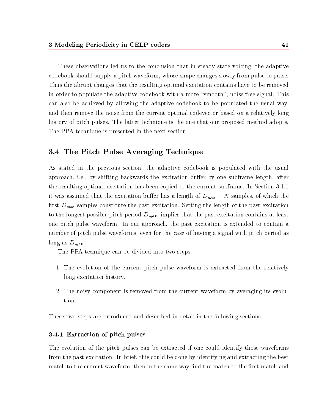These observations led us to the conclusion that in steady state voicing, the adaptive codebook should supply a pitch waveform, whose shape changes slowly from pulse to pulse. Thus the abrupt changes that the resulting optimal excitation contains have to be removed in order to populate the adaptive codebook with a more "smooth", noise-free signal. This can also be achieved by allowing the adaptive codebook to be populated the usual way, and then remove the noise from the current optimal codevector based on a relatively long history of pitch pulses. The latter technique is the one that our proposed method adopts. The PPA technique is presented in the next section.

# 3.4 The Pitch Pulse Averaging Technique

As stated in the previous section, the adaptive codebook is populated with the usual approach, i.e., by shifting backwards the excitation buffer by one subframe length, after the resulting optimal excitation has been copied to the current subframe. In Section 3.1.1 it was assumed that the excitation buffer has a length of  $D_{max} + N$  samples, of which the first  $D_{max}$  samples constitute the past excitation. Setting the length of the past excitation to the longest possible pitch period  $D_{max}$ , implies that the past excitation contains at least one pitch pulse waveform. In our approach, the past excitation is extended to contain a number of pitch pulse waveforms, even for the case of having a signal with pitch period as long as  $D_{max}$ .

The PPA technique can be divided into two steps.

- 1. The evolution of the current pitch pulse waveform is extracted from the relatively long excitation history.
- 2. The noisy component is removed from the current waveform by averaging its evolution.

These two steps are introduced and described in detail in the following sections.

## 3.4.1 Extraction of pitch pulses

The evolution of the pitch pulses can be extracted if one could identify those waveforms from the past excitation. In brief, this could be done by identifying and extracting the best match to the current waveform, then in the same way find the match to the first match and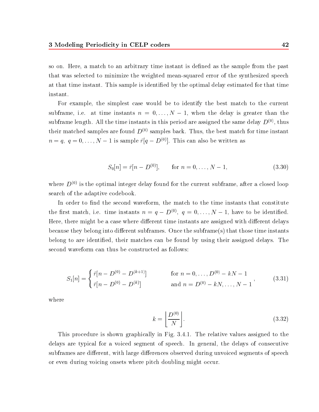so on. Here, a match to an arbitrary time instant is defined as the sample from the past that was selected to minimize the weighted mean-squared error of the synthesized speech at that time instant. This sample is identied by the optimal delay estimated for that time instant.

For example, the simplest case would be to identify the best match to the current subframe, i.e. at time instants n  $\alpha$  , i.e.  $\alpha$  is defined the delay is  $\alpha$  is the delay in the delay in subframe length. All the time instants in this period are assigned the same delay  $D^{(0)}$ , thus their matched samples are found  $D^{(0)}$  samples back. Thus, the best match for time instant  $n = q, q = 0, \ldots, N - 1$  is sample  $r[q - D^{\vee}']$ . This can also be written as

$$
S_0[n] = \hat{r}[n - D^{(0)}], \quad \text{for } n = 0, \dots, N - 1,
$$
 (3.30)

where  $D^{(0)}$  is the optimal integer delay found for the current subframe, after a closed loop search of the adaptive codebook.

In order to find the second waveform, the match to the time instants that constitute the first match, i.e. time instants  $n = q - D^{\langle \cdot \rangle},\; q = 0,\ldots, N-1,$  have to be identified. Here, there might be a case where different time instants are assigned with different delays because they belong into different subframes. Once the subframe(s) that those time instants belong to are identied, their matches can be found by using their assigned delays. The second waveform can thus be constructed as follows:

$$
S_1[n] = \begin{cases} \hat{r}[n - D^{(0)} - D^{(k+1)}] & \text{for } n = 0, \dots, D^{(0)} - kN - 1 \\ \hat{r}[n - D^{(0)} - D^{(k)}] & \text{and } n = D^{(0)} - kN, \dots, N - 1 \end{cases}
$$
(3.31)

where

$$
k = \left\lfloor \frac{D^{(0)}}{N} \right\rfloor. \tag{3.32}
$$

This procedure is shown graphically in Fig. 3.4.1. The relative values assigned to the delays are typical for a voiced segment of speech. In general, the delays of consecutive subframes are different, with large differences observed during unvoiced segments of speech or even during voicing onsets where pitch doubling might occur.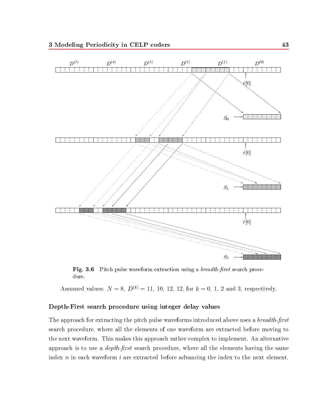

Fig. 3.6 Pitch pulse waveform extraction using a *breadth-first* search procedure.

Assumed values:  $N = 8$ ,  $D^{(k)} = 11$ , 10, 12, 12, for  $k = 0, 1, 2$  and 3, respectively.

#### Depth-First search procedure using integer delay values

The approach for extracting the pitch pulse waveforms introduced above uses a *breadth-first* search procedure, where all the elements of one waveform are extracted before moving to the next waveform. This makes this approach rather complex to implement. An alternative approach is to use a *depth-first* search procedure, where all the elements having the same index  $n$  in each waveform  $i$  are extracted before advancing the index to the next element.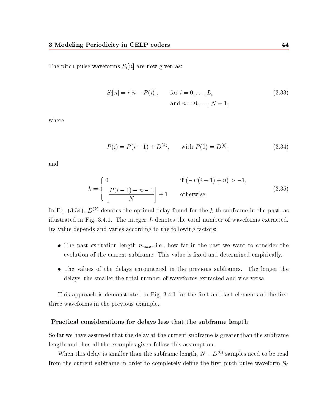The pitch pulse waveforms  $S_i[n]$  are now given as:

$$
S_i[n] = \hat{r}[n - P(i)], \quad \text{for } i = 0, ..., L,
$$
  
and  $n = 0, ..., N - 1,$  (3.33)

where

$$
P(i) = P(i-1) + D^{(k)}, \qquad \text{with } P(0) = D^{(0)}, \tag{3.34}
$$

and

$$
k = \begin{cases} 0 & \text{if } (-P(i-1) + n) > -1, \\ \left\lfloor \frac{P(i-1) - n - 1}{N} \right\rfloor + 1 & \text{otherwise.} \end{cases} \tag{3.35}
$$

In Eq. (3.34),  $D^{(k)}$  denotes the optimal delay found for the k-th subframe in the past, as illustrated in Fig. 3.4.1. The integer  $L$  denotes the total number of waveforms extracted. Its value depends and varies according to the following factors:

- The past excitation length  $n_{max}$ , i.e., how far in the past we want to consider the evolution of the current subframe. This value is fixed and determined empirically.
- The values of the delays encountered in the previous subframes. The longer the delays, the smaller the total number of waveforms extracted and vice-versa.

This approach is demonstrated in Fig. 3.4.1 for the first and last elements of the first three waveforms in the previous example.

#### Practical considerations for delays less that the subframe length

So far we have assumed that the delay at the current subframe is greater than the subframe length and thus all the examples given follow this assumption.

when this delay is smaller than the subframe length,  $N - D$   $\vee$  samples need to be read from the current subframe in order to completely define the first pitch pulse waveform  $S_0$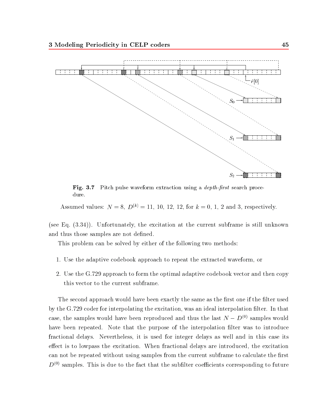

Fig. 3.7 Pitch pulse waveform extraction using a depth-rst search procedure.

Assumed values:  $N = 8$ ,  $D^{(k)} = 11$ , 10, 12, 12, for  $k = 0, 1, 2$  and 3, respectively.

(see Eq. (3.34)). Unfortunately, the excitation at the current subframe is still unknown and thus those samples are not defined.

This problem can be solved by either of the following two methods:

- 1. Use the adaptive codebook approach to repeat the extracted waveform, or
- 2. Use the G.729 approach to form the optimal adaptive codebook vector and then copy this vector to the current subframe.

The second approach would have been exactly the same as the first one if the filter used by the G.729 coder for interpolating the excitation, was an ideal interpolation filter. In that case, the samples would have been reproduced and thus the last  $N - D^{(0)}$  samples would have been repeated. Note that the purpose of the interpolation filter was to introduce fractional delays. Nevertheless, it is used for integer delays as well and in this case its effect is to lowpass the excitation. When fractional delays are introduced, the excitation can not be repeated without using samples from the current subframe to calculate the first  $D^{(0)}$  samples. This is due to the fact that the subfilter coefficients corresponding to future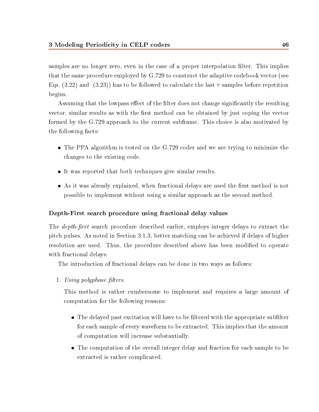samples are no longer zero, even in the case of a proper interpolation filter. This implies that the same procedure employed by G.729 to construct the adaptive codebook vector (see Eqs. (3.22) and (3.23)) has to be followed to calculate the last  $\tau$  samples before repetition begins.

Assuming that the lowpass effect of the filter does not change significantly the resulting vector, similar results as with the first method can be obtained by just coping the vector formed by the G.729 approach to the current subframe. This choice is also motivated by the following facts:

- The PPA algorithm is tested on the G.729 coder and we are trying to minimize the changes to the existing code.
- It was reported that both techniques give similar results.
- As it was already explained, when fractional delays are used the first method is not possible to implement without using a similar approach as the second method.

# Depth-First search procedure using fractional delay values

The *depth-first* search procedure described earlier, employs integer delays to extract the pitch pulses. As noted in Section 3.1.3, better matching can be achieved if delays of higher resolution are used. Thus, the procedure described above has been modified to operate with fractional delays.

The introduction of fractional delays can be done in two ways as follows:

1. Using polyphase filters.

This method is rather cumbersome to implement and requires a large amount of computation for the following reasons:

- The delayed past excitation will have to be filtered with the appropriate subfilter for each sample of every waveform to be extracted. This implies that the amount of computation will increase substantially.
- The computation of the overall integer delay and fraction for each sample to be extracted is rather complicated.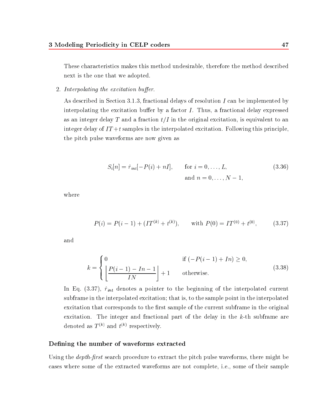These characteristics makes this method undesirable, therefore the method described next is the one that we adopted.

2. Interpolating the excitation buffer.

As described in Section 3.1.3, fractional delays of resolution I can be implemented by interpolating the excitation buffer by a factor  $I$ . Thus, a fractional delay expressed as an integer delay T and a fraction  $t/I$  in the original excitation, is equivalent to an integer delay of  $IT+t$  samples in the interpolated excitation. Following this principle, the pitch pulse waveforms are now given as

$$
S_i[n] = \hat{r}_{int}[-P(i) + nI], \quad \text{for } i = 0, ..., L,
$$
\n
$$
\text{and } n = 0, ..., N - 1,
$$
\n(3.36)

where

$$
P(i) = P(i-1) + (IT^{(k)} + t^{(k)}), \quad \text{with } P(0) = IT^{(0)} + t^{(0)}, \quad (3.37)
$$

and

$$
k = \begin{cases} 0 & \text{if } (-P(i-1) + In) \ge 0, \\ \left\lfloor \frac{P(i-1) - In - 1}{IN} \right\rfloor + 1 & \text{otherwise.} \end{cases}
$$
 (3.38)

In Eq. (3.37),  $\hat{r}_{int}$  denotes a pointer to the beginning of the interpolated current subframe in the interpolated excitation; that is, to the sample point in the interpolated excitation that corresponds to the first sample of the current subframe in the original excitation. The integer and fractional part of the delay in the k-th subframe are denoted as  $I \ll I$  and  $t \ll I$  respectively.

#### Defining the number of waveforms extracted

Using the *depth-first* search procedure to extract the pitch pulse waveforms, there might be cases where some of the extracted waveforms are not complete, i.e., some of their sample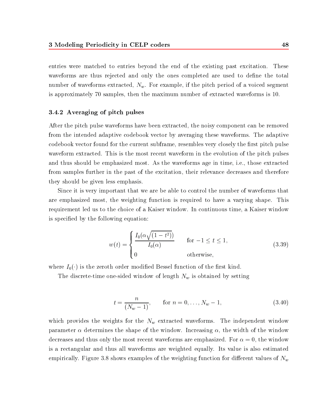entries were matched to entries beyond the end of the existing past excitation. These waveforms are thus rejected and only the ones completed are used to define the total number of waveforms extracted,  $N_w$ . For example, if the pitch period of a voiced segment is approximately 70 samples, then the maximum number of extracted waveforms is 10.

#### 3.4.2 Averaging of pitch pulses

After the pitch pulse waveforms have been extracted, the noisy component can be removed from the intended adaptive codebook vector by averaging these waveforms. The adaptive codebook vector found for the current subframe, resembles very closely the first pitch pulse waveform extracted. This is the most recent waveform in the evolution of the pitch pulses and thus should be emphasized most. As the waveforms age in time, i.e., those extracted from samples further in the past of the excitation, their relevance decreases and therefore they should be given less emphasis.

Since it is very important that we are be able to control the number of waveforms that are emphasized most, the weighting function is required to have a varying shape. This requirement led us to the choice of a Kaiser window. In continuous time, a Kaiser window is specied by the following equation:

$$
w(t) = \begin{cases} \frac{I_0(\alpha\sqrt{(1-t^2)})}{I_0(\alpha)} & \text{for } -1 \le t \le 1, \\ 0 & \text{otherwise,} \end{cases}
$$
(3.39)

where  $I_0(\cdot)$  is the zeroth order modified Bessel function of the first kind.

The discrete-time one-sided window of length  $N_w$  is obtained by setting

$$
t = \frac{n}{(N_w - 1)}, \quad \text{for } n = 0, \dots, N_w - 1,
$$
 (3.40)

which provides the weights for the  $N_w$  extracted waveforms. The independent window parameter  $\alpha$  determines the shape of the window. Increasing  $\alpha$ , the width of the window decreases and thus only the most recent waveforms are emphasized. For  $\alpha = 0$ , the window is a rectangular and thus all waveforms are weighted equally. Its value is also estimated empirically. Figure 3.8 shows examples of the weighting function for different values of  $N_w$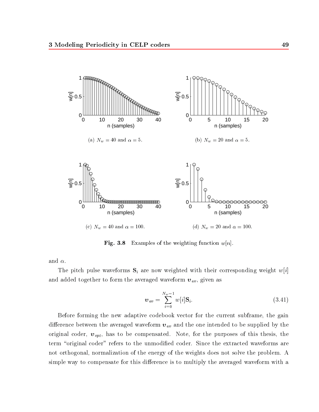

 $\blacksquare$  .  $\blacksquare$  . Examples of the weighting function when

and  $\alpha$ .

The pitch pulse waveforms  $S_i$  are now weighted with their corresponding weight  $w[i]$ and added together to form the averaged waveform  $\boldsymbol{v}_{\mathit{av}},$  given as

$$
\boldsymbol{v}_{av} = \sum_{i=0}^{N_w - 1} w[i] \mathbf{S}_i. \tag{3.41}
$$

Before forming the new adaptive codebook vector for the current subframe, the gain difference between the averaged waveform  $v_{av}$  and the one intended to be supplied by the original coder,  $v_{opt}$ , has to be compensated. Note, for the purposes of this thesis, the term "original coder" refers to the unmodified coder. Since the extracted waveforms are not orthogonal, normalization of the energy of the weights does not solve the problem. A simple way to compensate for this difference is to multiply the averaged waveform with a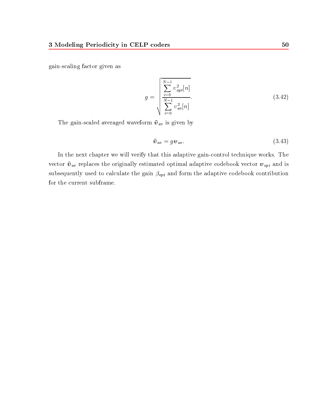gain-scaling factor given as

$$
g = \sqrt{\sum_{i=0}^{N-1} \frac{v_{opt}^2[n]}{\sum_{i=0}^{N-1} v_{av}^2[n]}}.
$$
\n(3.42)

The gain-scaled averaged waveform  $\tilde{v}_{av}$  is given by

$$
\tilde{\boldsymbol{v}}_{av} = g \boldsymbol{v}_{av}.\tag{3.43}
$$

In the next chapter we will verify that this adaptive gain-control technique works. The vector  $~\tilde{\bm{v}}_{av}$  replaces the originally estimated optimal adaptive codebook vector  $\bm{v}_{opt}$  and is subsequently used to calculate the gain  $\beta_{opt}$  and form the adaptive codebook contribution for the current subframe.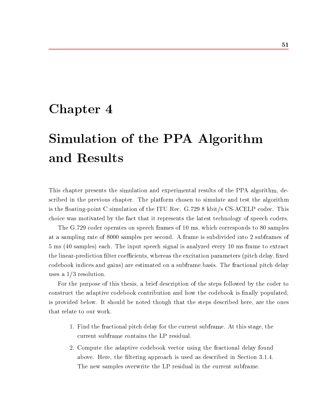# Chapter 4

# Simulation of the PPA Algorithm and Results

This chapter presents the simulation and experimental results of the PPA algorithm, described in the previous chapter. The platform chosen to simulate and test the algorithm is the floating-point C simulation of the ITU Rec.  $G.7298$  kbit/s CS-ACELP codec. This choice was motivated by the fact that it represents the latest technology of speech coders.

The G.729 coder operates on speech frames of 10 ms, which corresponds to 80 samples at a sampling rate of 8000 samples per second. A frame is subdivided into 2 subframes of 5 ms (40 samples) each. The input speech signal is analyzed every 10 ms frame to extract the linear-prediction filter coefficients, whereas the excitation parameters (pitch delay, fixed codebook indices and gains) are estimated on a subframe basis. The fractional pitch delay uses a 1/3 resolution.

For the purpose of this thesis, a brief description of the steps followed by the coder to construct the adaptive codebook contribution and how the codebook is finally populated, is provided below. It should be noted though that the steps described here, are the ones that relate to our work.

- 1. Find the fractional pitch delay for the current subframe. At this stage, the current subframe contains the LP residual.
- 2. Compute the adaptive codebook vector using the fractional delay found above. Here, the filtering approach is used as described in Section 3.1.4. The new samples overwrite the LP residual in the current subframe.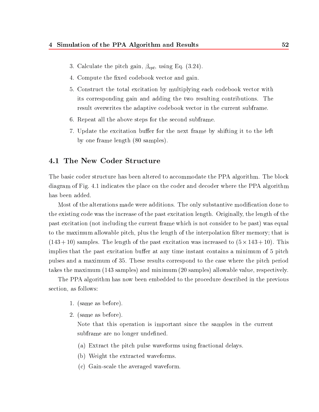- 3. Calculate the pitch gain,  $\beta_{opt}$ , using Eq. (3.24).
- 4. Compute the fixed codebook vector and gain.
- 5. Construct the total excitation by multiplying each codebook vector with its corresponding gain and adding the two resulting contributions. The result overwrites the adaptive codebook vector in the current subframe.
- 6. Repeat all the above steps for the second subframe.
- 7. Update the excitation buffer for the next frame by shifting it to the left by one frame length (80 samples).

# 4.1 The New Coder Structure

The basic coder structure has been altered to accommodate the PPA algorithm. The block diagram of Fig. 4.1 indicates the place on the coder and decoder where the PPA algorithm has been added.

Most of the alterations made were additions. The only substantive modification done to the existing code was the increase of the past excitation length. Originally, the length of the past excitation (not including the current frame which is not consider to be past) was equal to the maximum allowable pitch, plus the length of the interpolation filter memory; that is (143  $\pm$  143  $\pm$  10) samples . The length of the past excitation was increased to (5  $\pm$  143  $\pm$  143  $\pm$ implies that the past excitation buffer at any time instant contains a minimum of 5 pitch pulses and a maximum of 35. These results correspond to the case where the pitch period takes the maximum (143 samples) and minimum (20 samples) allowable value, respectively.

The PPA algorithm has now been embedded to the procedure described in the previous section, as follows:

- 1. (same as before).
- 2. (same as before).

Note that this operation is important since the samples in the current subframe are no longer undefined.

- (a) Extract the pitch pulse waveforms using fractional delays.
- (b) Weight the extracted waveforms.
- (c) Gain-scale the averaged waveform.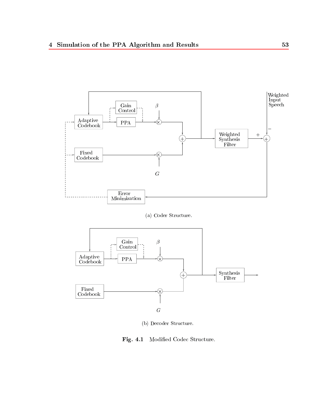





(b) Decoder Structure.

Fig. 4.1 Modied Codec Structure.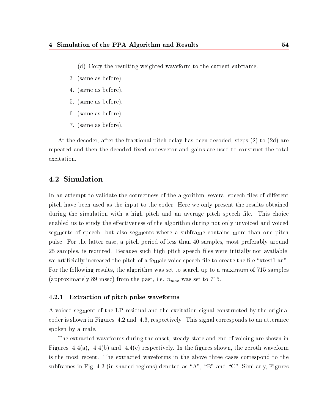- (d) Copy the resulting weighted waveform to thecurrent subframe.
- 3. (same as before).
- 4. (same as before).
- 5. (same as before).
- 6. (same as before).
- 7. (same as before).

At the decoder, after the fractional pitch delay has been decoded, steps (2) to (2d) are repeated and then the decoded fixed codevector and gains are used to construct the total excitation.

# 4.2 Simulation

In an attempt to validate the correctness of the algorithm, several speech files of different pitch have been used as the input to the coder. Here we only present the results obtained during the simulation with a high pitch and an average pitch speech file. This choice enabled us to study the effectiveness of the algorithm during not only unvoiced and voiced segments of speech, but also segments where a subframe contains more than one pitch pulse. For the latter case, a pitch period of less than 40 samples, most preferably around 25 samples, is required. Because such high pitch speech les were initially not available, we artificially increased the pitch of a female voice speech file to create the file " $x$ test1.au". For the following results, the algorithm was set to search up to a maximum of 715 samples (approximately 89 msec) from the past, i.e.  $n_{max}$  was set to 715.

#### 4.2.1 Extraction of pitch pulse waveforms

A voiced segment of the LP residual and the excitation signal constructed by the original coder is shown in Figures 4.2 and 4.3, respectively. This signal corresponds to an utterance spoken by a male.

The extracted waveforms during the onset, steady state and end of voicing are shown in Figures 4.4(a), 4.4(b) and 4.4(c) respectively. In the figures shown, the zeroth waveform is the most recent. The extracted waveforms in the above three cases correspond to the subframes in Fig. 4.3 (in shaded regions) denoted as "A", "B" and "C". Similarly, Figures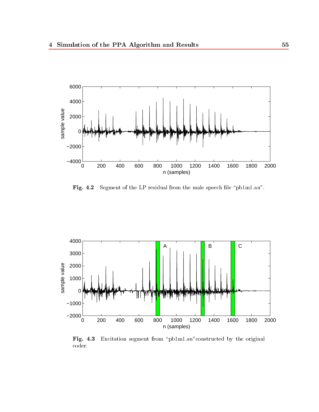

Fig. 4.2 Segment of the LP residual from the male speech file " $pb1m1.au"$ .



Fig. 4.3 Excitation segment from "pb1m1.au"constructed by the original coder.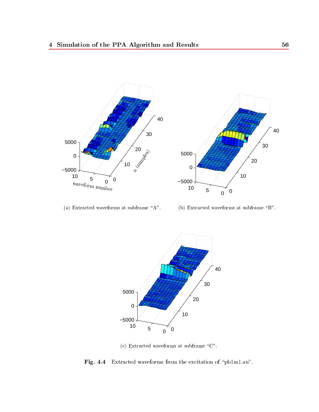

(a) Extracted waveforms at subframe "A".

(b) Extracted waveforms at subframe  $\mathrm{``B''}.$ 



(c) Extracted waveforms at subframe "C".

Fig. 4.4 Extracted waveforms from the excitation of \pb1m1.au".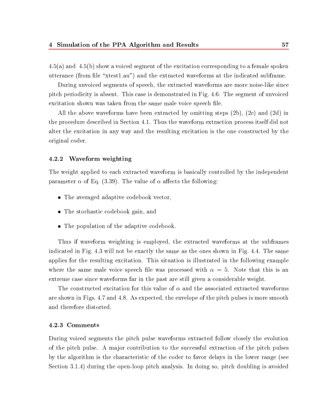$4.5(a)$  and  $4.5(b)$  show a voiced segment of the excitation corresponding to a female spoken utterance (from file "xtest1.au") and the extracted waveforms at the indicated subframe.

During unvoiced segments of speech, the extracted waveforms are more noise-like since pitch periodicity is absent. This case is demonstrated in Fig. 4.6. The segment of unvoiced excitation shown was taken from the same male voice speech file.

All the above waveforms have been extracted by omitting steps (2b), (2c) and (2d) in the procedure described in Section 4.1. Thus the waveform extraction process itself did not alter the excitation in any way and the resulting excitation is the one constructed by the original coder.

#### 4.2.2 Waveform weighting

The weight applied to each extracted waveform is basically controlled by the independent parameter  $\alpha$  of Eq. (3.39). The value of  $\alpha$  affects the following:

- The averaged adaptive codebook vector,
- The stochastic codebook gain, and
- The population of the adaptive codebook.

Thus if waveform weighting is employed, the extracted waveforms at the subframes indicated in Fig. 4.3 will not be exactly the same as the ones shown in Fig. 4.4. The same applies for the resulting excitation. This situation is illustrated in the following example where the same male voice speech file was processed with  $\alpha = 5$ . Note that this is an extreme case since waveforms far in the past are still given a considerable weight.

The constructed excitation for this value of  $\alpha$  and the associated extracted waveforms are shown in Figs. 4.7 and 4.8. As expected, the envelope of the pitch pulses is more smooth and therefore distorted.

#### 4.2.3 Comments

During voiced segments the pitch pulse waveforms extracted follow closely the evolution of the pitch pulse. A ma jor contribution to the successful extraction of the pitch pulses by the algorithm is the characteristic of the coder to favor delays in the lower range (see Section 3.1.4) during the open-loop pitch analysis. In doing so, pitch doubling is avoided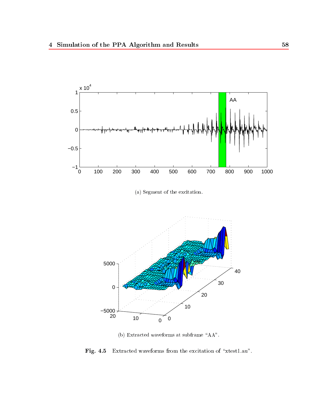

(a) Segment of the excitation.



(b) Extracted waveforms at subframe  $"AA".$ 

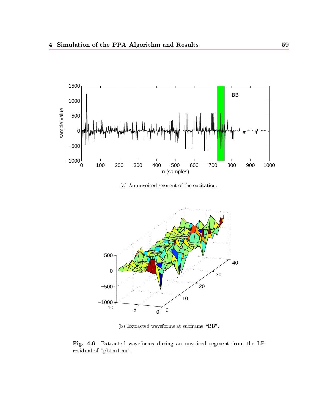

(a) An unvoiced segment of the excitation.



(b) Extracted waveforms at subframe "BB".

Fig. 4.6 Extracted waveforms during an unvoiced segment from the LP residual of "pb1m1.au".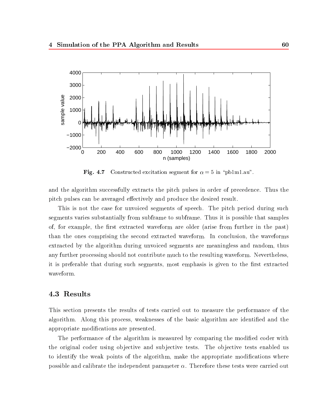

Fig. 4.7 Constructed excitation segment for  $\alpha = 5$  in "pb1m1.au".

and the algorithm successfully extracts the pitch pulses in order of precedence. Thus the pitch pulses can be averaged effectively and produce the desired result.

This is not the case for unvoiced segments of speech. The pitch period during such segments varies substantially from subframe to subframe. Thus it is possible that samples of, for example, the first extracted waveform are older (arise from further in the past) than the ones comprising the second extracted waveform. In conclusion, the waveforms extracted by the algorithm during unvoiced segments are meaningless and random, thus any further processing should not contribute much to the resulting waveform. Nevertheless, it is preferable that during such segments, most emphasis is given to the first extracted waveform.

# 4.3 Results

This section presents the results of tests carried out to measure the performance of the algorithm. Along this process, weaknesses of the basic algorithm are identified and the appropriate modications are presented.

The performance of the algorithm is measured by comparing the modified coder with the original coder using objective and subjective tests. The objective tests enabled us to identify the weak points of the algorithm, make the appropriate modifications where possible and calibrate the independent parameter  $\alpha$ . Therefore these tests were carried out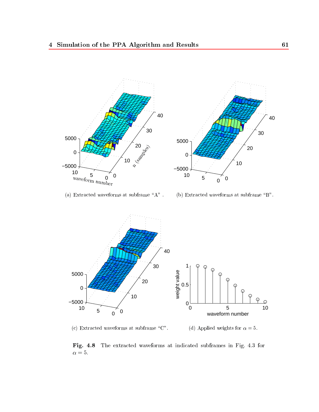



(c) Extracted waveforms at subframe  $\text{``C''}.$ (d) Applied weights for  $\alpha = 5$ .

Fig. 4.8 The extracted waveforms at indicated subframes in Fig. 4.3 for  $\alpha$  = 5.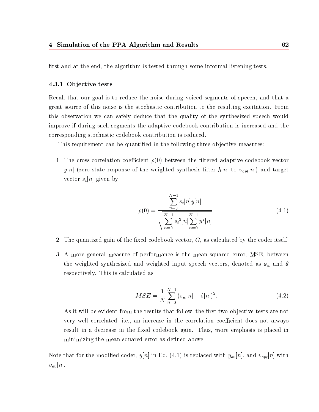first and at the end, the algorithm is tested through some informal listening tests.

#### 4.3.1 Ob jective tests

Recall that our goal is to reduce the noise during voiced segments of speech, and that a great source of this noise is the stochastic contribution to the resulting excitation. From this observation we can safely deduce that the quality of the synthesized speech would improve if during such segments the adaptive codebook contribution is increased and the corresponding stochastic codebook contribution is reduced.

This requirement can be quantified in the following three objective measures:

1. The cross-correlation coefficient  $\rho(0)$  between the filtered adaptive codebook vector  $y[n]$  (zero-state response of the weighted synthesis filter  $h[n]$  to  $v_{opt}[n]$ ) and target vector  $s_t[n]$  given by

$$
\rho(0) = \frac{\sum_{n=0}^{N-1} s_t[n]y[n]}{\sqrt{\sum_{n=0}^{N-1} s_t^2[n] \sum_{n=0}^{N-1} y^2[n]}}.
$$
\n(4.1)

- 2. The quantized gain of the fixed codebook vector,  $G$ , as calculated by the coder itself.
- 3. A more general measure of performance is the mean-squared error, MSE, between the weighted synthesized and weighted input speech vectors, denoted as  $s_w$  and  $\hat{s}$ respectively. This is calculated as,

$$
MSE = \frac{1}{N} \sum_{n=0}^{N-1} (s_w[n] - \hat{s}[n])^2.
$$
 (4.2)

As it will be evident from the results that follow, the first two objective tests are not very well correlated, i.e., an increase in the correlation coefficient does not always result in a decrease in the fixed codebook gain. Thus, more emphasis is placed in minimizing the mean-squared error as defined above.

Note that for the modified coder,  $y[n]$  in Eq. (4.1) is replaced with  $y_{av}[n]$ , and  $v_{opt}[n]$  with  $v_{av}[n]$ .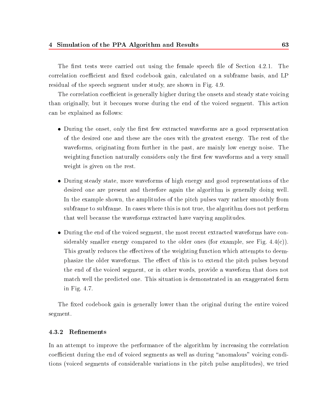The first tests were carried out using the female speech file of Section 4.2.1. The correlation coefficient and fixed codebook gain, calculated on a subframe basis, and LP residual of the speech segment under study, are shown in Fig. 4.9.

The correlation coefficient is generally higher during the onsets and steady state voicing than originally, but it becomes worse during the end of the voiced segment. This action can be explained as follows:

- During the onset, only the first few extracted waveforms are a good representation of the desired one and these are the ones with the greatest energy. The rest of the waveforms, originating from further in the past, are mainly low energy noise. The weighting function naturally considers only the first few waveforms and a very small weight is given on the rest.
- During steady state, more waveforms of high energy and good representations of the desired one are present and therefore again the algorithm is generally doing well. In the example shown, the amplitudes of the pitch pulses vary rather smoothly from subframe to subframe. In cases where this is not true, the algorithm does not perform that well because the waveforms extracted have varying amplitudes.
- During the end of the voiced segment, the most recent extracted waveforms have considerably smaller energy compared to the older ones (for example, see Fig.  $4.4(c)$ ). This greatly reduces the effectives of the weighting function which attempts to deemphasize the older waveforms. The effect of this is to extend the pitch pulses beyond the end of the voiced segment, or in other words, provide a waveform that does not match well the predicted one. This situation is demonstrated in an exaggerated form in Fig. 4.7.

The fixed codebook gain is generally lower than the original during the entire voiced segment.

#### 4.3.2 Renements

In an attempt to improve the performance of the algorithm by increasing the correlation coefficient during the end of voiced segments as well as during "anomalous" voicing conditions (voiced segments of considerable variations in the pitch pulse amplitudes), we tried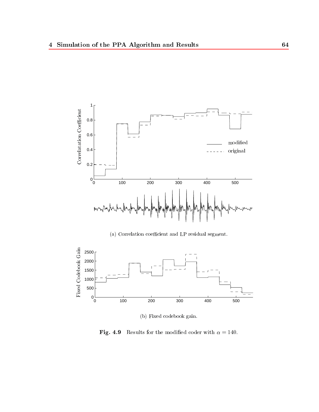

(a) Correlation coefficient and LP residual segment.



(b) Fixed codebook gain.

Fig. 4.9 Results for the modified coder with  $\alpha = 140$ .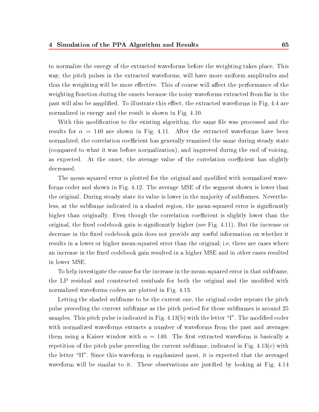to normalize the energy of the extracted waveforms before the weighting takes place. This way, the pitch pulses in the extracted waveforms, will have more uniform amplitudes and thus the weighting will be more effective. This of course will affect the performance of the weighting function during the onsets because the noisy waveforms extracted from far in the past will also be amplified. To illustrate this effect, the extracted waveforms in Fig. 4.4 are normalized in energy and the result is shown in Fig. 4.10.

With this modification to the existing algorithm, the same file was processed and the results for  $\alpha = 140$  are shown in Fig. 4.11. After the extracted waveforms have been normalized, the correlation coefficient has generally remained the same during steady state (compared to what it was before normalization), and improved during the end of voicing, as expected. At the onset, the average value of the correlation coefficient has slightly decreased.

The mean-squared error is plotted for the original and modified with normalized waveforms coder and shown in Fig. 4.12. The average MSE of the segment shown is lower than the original. During steady state its value is lower in the majority of subframes. Nevertheless, at the subframe indicated in a shaded region, the mean-squared error is significantly higher than originally. Even though the correlation coefficient is slightly lower than the original, the fixed codebook gain is significantly higher (see Fig. 4.11). But the increase or decrease in the fixed codebook gain does not provide any useful information on whether it results in a lower or higher mean-squared error than the original; i.e, there are cases where an increase in the fixed codebook gain resulted in a higher MSE and in other cases resulted in lower MSE.

To help investigate the cause for the increase in the mean-squared error in that subframe, the LP residual and constructed residuals for both the original and the modified with normalized waveforms coders are plotted in Fig. 4.13.

Letting the shaded subframe to be the current one, the original coder repeats the pitch pulse preceding the current subframe as the pitch period for those subframes is around 25 samples. This pitch pulse is indicated in Fig.  $4.13(b)$  with the letter "I". The modified coder with normalized waveforms extracts a number of waveforms from the past and averages them using a Kaiser window with  $\alpha = 140$ . The first extracted waveform is basically a repetition of the pitch pulse preceding the current subframe, indicated in Fig.  $4.13(c)$  with the letter \II". Since this waveform is emphasized most, it is expected that the averaged waveform will be similar to it. These observations are justified by looking at Fig. 4.14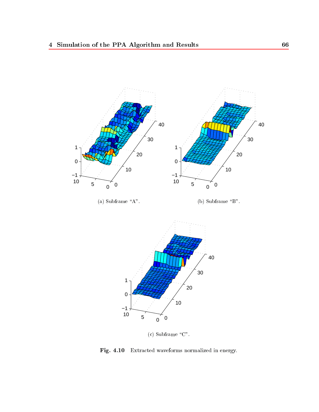

(a) Subframe " $A$ ".

(b) Subframe " $B$ ".



(c) Subframe " $C$ ".

Fig. 4.10 Extracted waveforms normalized in energy.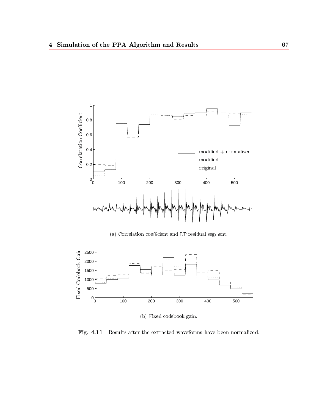

(a) Correlation coefficient and LP residual segment.



(b) Fixed codebook gain.

Fig. 4.11 Results after the extracted waveforms have been normalized.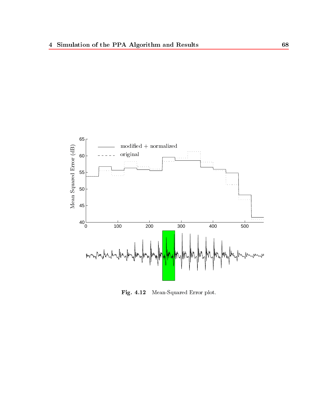

Fig. 4.12 Mean-Squared Error plot.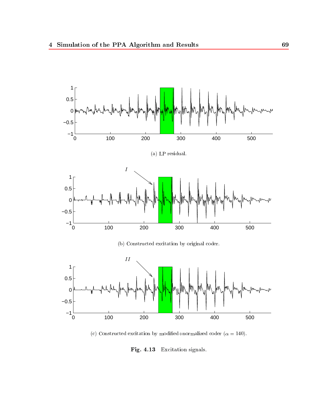

(c) Constructed excitation by modified+normalized coder ( $\alpha = 140$ ).

 $\blacksquare$ .  $\blacksquare$ .  $\blacksquare$ .  $\blacksquare$ .  $\blacksquare$ .  $\blacksquare$ .  $\blacksquare$ .  $\blacksquare$ .  $\blacksquare$ .  $\blacksquare$ .  $\blacksquare$ .  $\blacksquare$ .  $\blacksquare$ .  $\blacksquare$ .  $\blacksquare$ .  $\blacksquare$ .  $\blacksquare$ .  $\blacksquare$ .  $\blacksquare$ .  $\blacksquare$ .  $\blacksquare$ .  $\blacksquare$ .  $\blacksquare$ .  $\blacksquare$ .  $\blacksquare$ .  $\blacksquare$ .  $\blacksquare$ .  $\blacksquare$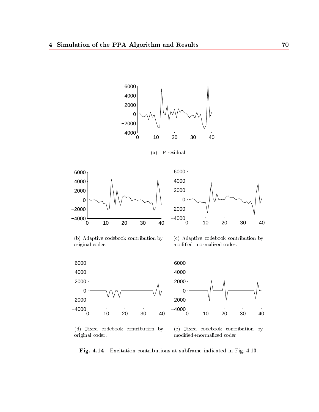







(b) Adaptive codebook contribution by original coder.

(c) Adaptive codebook contribution by modied+normalized coder.



(d) Fixed codebook contribution by original coder.

(e) Fixed codebook contribution by modied+normalized coder.

Fig. 4.14 Excitation contributions at subframe indicated in Fig. 4.13.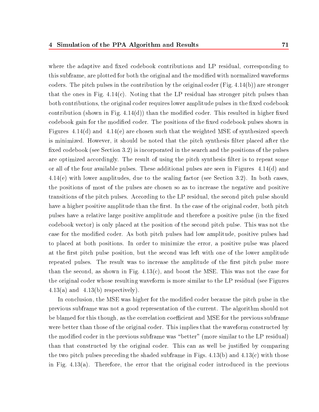where the adaptive and fixed codebook contributions and LP residual, corresponding to this subframe, are plotted for both the original and the modied with normalized waveforms coders. The pitch pulses in the contribution by the original coder  $(Fig. 4.14(b))$  are stronger that the ones in Fig.  $4.14(c)$ . Noting that the LP residual has stronger pitch pulses than both contributions, the original coder requires lower amplitude pulses in the fixed codebook contribution (shown in Fig.  $4.14(d)$ ) than the modified coder. This resulted in higher fixed codebook gain for the modified coder. The positions of the fixed codebook pulses shown in Figures  $4.14(d)$  and  $4.14(e)$  are chosen such that the weighted MSE of synthesized speech is minimized. However, it should be noted that the pitch synthesis lter placed after the fixed codebook (see Section 3.2) is incorporated in the search and the positions of the pulses are optimized accordingly. The result of using the pitch synthesis filter is to repeat some or all of the four available pulses. These additional pulses are seen in Figures 4.14(d) and 4.14(e) with lower amplitudes, due to the scaling factor (see Section 3.2). In both cases, the positions of most of the pulses are chosen so as to increase the negative and positive transitions of the pitch pulses. According to the LP residual, the second pitch pulse should have a higher positive amplitude than the first. In the case of the original coder, both pitch pulses have a relative large positive amplitude and therefore a positive pulse (in the fixed codebook vector) is only placed at the position of the second pitch pulse. This was not the case for the modied coder. As both pitch pulses had low amplitude, positive pulses had to placed at both positions. In order to minimize the error, a positive pulse was placed at the first pitch pulse position, but the second was left with one of the lower amplitude repeated pulses. The result was to increase the amplitude of the first pitch pulse more than the second, as shown in Fig.  $4.13(c)$ , and boost the MSE. This was not the case for the original coder whose resulting waveform is more similar to the LP residual (see Figures  $4.13(a)$  and  $4.13(b)$  respectively).

In conclusion, the MSE was higher for the modified coder because the pitch pulse in the previous subframe was not a good representation of the current. The algorithm should not be blamed for this though, as the correlation coefficient and MSE for the previous subframe were better than those of the original coder. This implies that the waveform constructed by the modified coder in the previous subframe was "better" (more similar to the LP residual) than that constructed by the original coder. This can as well be justied by comparing the two pitch pulses preceding the shaded subframe in Figs.  $4.13(b)$  and  $4.13(c)$  with those in Fig. 4.13(a). Therefore, the error that the original coder introduced in the previous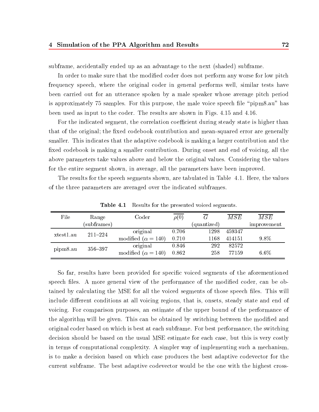subframe, accidentally ended up asan advantage to the next (shaded) subframe.

In order to make sure that the modified coder does not perform any worse for low pitch frequency speech, where the original coder in general performs well, similar tests have been carried out for an utterance spoken by a male speaker whose average pitch period is approximately 75 samples. For this purpose, the male voice speech file "pipm8.au" has been used as input to the coder. The results are shown in Figs. 4.15 and 4.16.

For the indicated segment, the correlation coefficient during steady state is higher than that of the original; the fixed codebook contribution and mean-squared error are generally smaller. This indicates that the adaptive codebook is making a larger contribution and the fixed codebook is making a smaller contribution. During onset and end of voicing, all the above parameters take values above and below the original values. Considering the values for the entire segment shown, in average, all the parameters have been improved.

The results for the speech segments shown, are tabulated in Table 4.1. Here, the values of the three parameters are averaged over the indicated subframes.

| File      | Range       | Coder                       | $\rho(0)$ |             | $\overline{MSE}$ | $\overline{MSE}$ |
|-----------|-------------|-----------------------------|-----------|-------------|------------------|------------------|
|           | (subframes) |                             |           | (quantized) |                  | improvement      |
| xtest1.au | $211 - 224$ | original                    | 0.706     | 1298        | 459347           |                  |
|           |             | modified ( $\alpha = 140$ ) | 0.710     | 1168        | 414151           | $9.8\%$          |
| pipm8.au  | $356 - 397$ | original                    | 0.846     | 292         | 82572            |                  |
|           |             | modified ( $\alpha = 140$ ) | 0.862     | 258         | 77159            | $6.6\%$          |

Table 4.1 Results for the presented voiced segments.

So far, results have been provided for specic voiced segments of the aforementioned speech files. A more general view of the performance of the modified coder, can be obtained by calculating the MSE for all the voiced segments of those speech files. This will include different conditions at all voicing regions, that is, onsets, steady state and end of voicing. For comparison purposes, an estimate of the upper bound of the performance of the algorithm will be given. This can be obtained by switching between the modified and original coder based on which is best at each subframe. For best performance, the switching decision should be based on the usual MSE estimate for each case, but this is very costly in terms of computational complexity. A simpler way of implementing such a mechanism, is to make a decision based on which case produces the best adaptive codevector for the current subframe. The best adaptive codevector would be the one with the highest cross-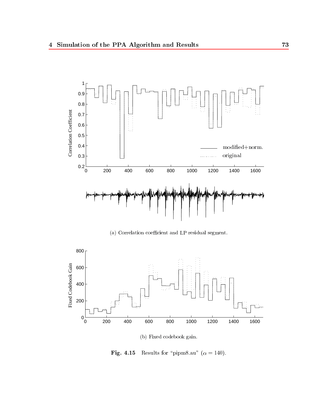

(a) Correlation coefficient and LP residual segment.



(b) Fixed codebook gain.

Fig. 4.15 Results for "pipm8.au" ( $\alpha = 140$ ).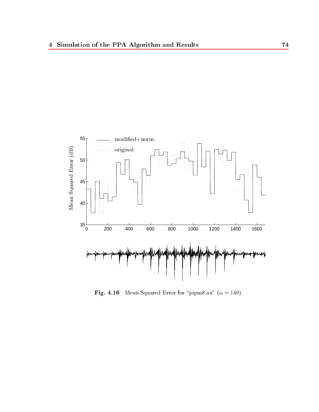

Fig. 4.16 Mean-Squared Error for \pipm8.au" ( = 140).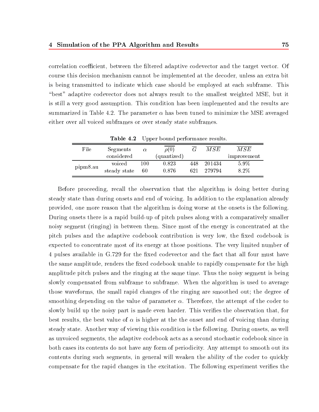correlation coefficient, between the filtered adaptive codevector and the target vector. Of course this decision mechanism cannot be implemented at the decoder, unless an extra bit is being transmitted to indicate which case should be employed at each subframe. This "best" adaptive codevector does not always result to the smallest weighted MSE, but it is still a very good assumption. This condition has been implemented and the results are summarized in Table 4.2. The parameter  $\alpha$  has been tuned to minimize the MSE averaged either over all voiced subframes or over steady state subframes.

|          |              | <b>Table 4.2</b> Upper bound performance results. |             |     |        |             |
|----------|--------------|---------------------------------------------------|-------------|-----|--------|-------------|
| File     | Segments     | $\alpha$                                          | $\rho(0)$   |     | MSE    | MSE         |
|          | considered   |                                                   | (quantized) |     |        | improvement |
| pipm8.au | voiced       | 100                                               | 0.823       | 448 | 201434 | $5.9\%$     |
|          | steady state | -60                                               | 0.876       | 621 | 279794 | 8.2%        |

Before proceeding, recall the observation that the algorithm is doing better during steady state than during onsets and end of voicing. In addition to the explanation already provided, one more reason that the algorithm is doing worse at the onsets is the following. During onsets there is a rapid build-up of pitch pulses along with a comparatively smaller noisy segment (ringing) in between them. Since most of the energy is concentrated at the pitch pulses and the adaptive codebook contribution is very low, the fixed codebook is expected to concentrate most of its energy at those positions. The very limited number of 4 pulses available in G.729 for the fixed codevector and the fact that all four must have the same amplitude, renders the fixed codebook unable to rapidly compensate for the high amplitude pitch pulses and the ringing at the same time. Thus the noisy segment is being slowly compensated from subframe to subframe. When the algorithm is used to average those waveforms, the small rapid changes of the ringing are smoothed out; the degree of smoothing depending on the value of parameter  $\alpha$ . Therefore, the attempt of the coder to slowly build up the noisy part is made even harder. This verifies the observation that, for best results, the best value of  $\alpha$  is higher at the the onset and end of voicing than during steady state. Another way of viewing this condition is the following. During onsets, as well as unvoiced segments, the adaptive codebook acts as a second stochastic codebook since in both cases its contents do not have any form of periodicity. Any attempt to smooth out its contents during such segments, in general will weaken the ability of the coder to quickly compensate for the rapid changes in the excitation. The following experiment verifies the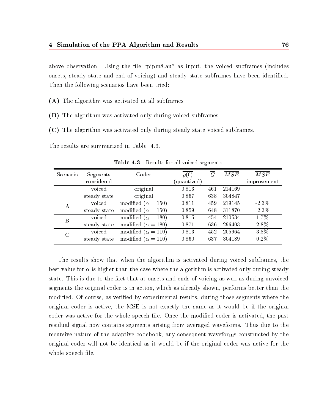above observation. Using the file "pipm8.au" as input, the voiced subframes (includes onsets, steady state and end of voicing) and steady state subframes have been identied. Then the following scenarios have been tried:

(A) The algorithm was activated at all subframes.

- (B) The algorithm was activated only during voiced subframes.
- (C) The algorithm was activated only during steady state voiced subframes.

The results are summarized in Table 4.3.

| Scenario         | Segments     | Coder                       | $\rho(0)$   | $\overline{G}$ | MSE    | $\overline{MSE}$ |
|------------------|--------------|-----------------------------|-------------|----------------|--------|------------------|
|                  | considered   |                             | (quantized) |                |        | improvement      |
|                  | voiced       | original                    | 0.813       | 461            | 214169 |                  |
|                  | steady state | original                    | 0.867       | 638            | 304847 |                  |
| A                | voiced       | modified ( $\alpha = 150$ ) | 0.811       | 459            | 219145 | $-2.3\%$         |
|                  | steady state | modified ( $\alpha = 150$ ) | 0.859       | 648            | 311870 | $-2.3\%$         |
| $\boldsymbol{B}$ | voiced       | modified ( $\alpha = 180$ ) | 0.815       | 454            | 210534 | $1.7\%$          |
|                  | steady state | modified ( $\alpha = 180$ ) | 0.871       | 636            | 296403 | 2.8%             |
| $\mathcal{C}$    | voiced       | modified ( $\alpha = 110$ ) | 0.813       | 452            | 205964 | $3.8\%$          |
|                  | steady state | modified ( $\alpha = 110$ ) | 0.860       | 637            | 304189 | $0.2\%$          |

Table 4.3 Results for all voiced segments.

The results show that when the algorithm is activated during voiced subframes, the best value for  $\alpha$  is higher than the case where the algorithm is activated only during steady state. This is due to the fact that at onsets and ends of voicing as well as during unvoiced segments the original coder is in action, which as already shown, performs better than the modied. Of course, as veried by experimental results, during those segments where the original coder is active, the MSE is not exactly the same as it would be if the original coder was active for the whole speech file. Once the modified coder is activated, the past residual signal now contains segments arising from averaged waveforms. Thus due to the recursive nature of the adaptive codebook, any consequent waveforms constructed by the original coder will not be identical as it would be ifthe original coder was active for the whole speech file.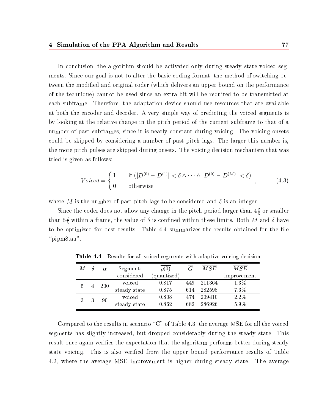In conclusion, the algorithm should be activated only during steady state voiced segments. Since our goal is not to alter the basic coding format, the method of switching between the modied and original coder (which delivers an upper bound on the performance of the technique) cannot be used since an extra bit will be required to be transmitted at each subframe. Therefore, the adaptation device should use resources that are available at both the encoder and decoder. A very simple way of predicting the voiced segments is by looking at the relative change in the pitch period of the current subframe to that of a number of past subframes, since it is nearly constant during voicing. The voicing onsets could be skipped by considering a number of past pitch lags. The larger this number is, the more pitch pulses are skipped during onsets. The voicing decision mechanism that was tried is given as follows:

$$
Voiced = \begin{cases} 1 & \text{if } (|D^{(0)} - D^{(1)}| < \delta \wedge \dots \wedge |D^{(0)} - D^{(M)}| < \delta) \\ 0 & \text{otherwise} \end{cases} \tag{4.3}
$$

where M is the number of past pitch lags to be considered and  $\delta$  is an integer.

Since the coder does not allow any change in the pitch period larger than  $4\frac{1}{3}$  or smaller than  $\mathfrak{d}_{3}^{\perp}$  within a frame, the value of  $\sigma$  is confined within these limits. Both M and  $\sigma$  have to be optimized for best results. Table 4.4 summarizes the results obtained for the file " $\text{pipm8.au}$ ".

| М |  | $\alpha$     | Segments   | $\rho(U)$           | G      | M S E  | MSE         |
|---|--|--------------|------------|---------------------|--------|--------|-------------|
|   |  |              | considered | ${\rm (quantized)}$ |        |        | improvement |
|   |  | <b>200</b>   | voiced     | 0.817               | 449    | 211364 | 1.3%        |
| 5 |  | steady state | 0.875      | 614                 | 282598 | 7.3%   |             |
|   |  | 90           | voiced     | 0.808               | 474    | 209410 | $2.2\%$     |
| 3 |  | steady state | 0.862      | 682                 | 286926 | 5.9%   |             |

Table 4.4 Results for all voiced segments with adaptive voicing decision.

Compared to the results in scenario " $C$ " of Table 4.3, the average MSE for all the voiced segments has slightly increased, but dropped considerably during the steady state. This result once again verifies the expectation that the algorithm performs better during steady state voicing. This is also verified from the upper bound performance results of Table 4.2, where the average MSE improvement is higher during steady state. The average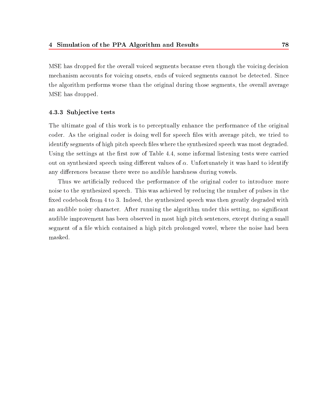MSE has dropped for the overall voiced segments because even though the voicing decision mechanism accounts for voicing onsets, ends of voiced segments cannot be detected. Since the algorithm performs worse than the original during those segments, the overall average MSE has dropped.

#### 4.3.3 Sub jective tests

The ultimate goal of this work is to perceptually enhance the performance of the original coder. As the original coder is doing well for speech files with average pitch, we tried to identify segments of high pitch speech files where the synthesized speech was most degraded. Using the settings at the first row of Table 4.4, some informal listening tests were carried out on synthesized speech using different values of  $\alpha$ . Unfortunately it was hard to identify any differences because there were no audible harshness during vowels.

Thus we artificially reduced the performance of the original coder to introduce more noise to the synthesized speech. This was achieved by reducing the number of pulses in the fixed codebook from 4 to 3. Indeed, the synthesized speech was then greatly degraded with an audible noisy character. After running the algorithm under this setting, no signicant audible improvement has been observed in most high pitch sentences, except during a small segment of a file which contained a high pitch prolonged vowel, where the noise had been masked.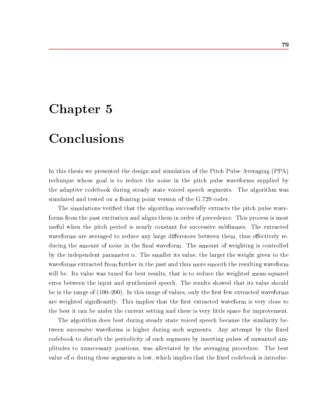### Chapter 5

# Conclusions

In this thesis we presented the design and simulation of the Pitch Pulse Averaging (PPA) technique whose goal is to reduce the noise in the pitch pulse waveforms supplied by the adaptive codebook during steady state voiced speech segments. The algorithm was simulated and tested on a floating point version of the G.729 coder.

The simulations veried that the algorithm successfully extracts the pitch pulse waveforms from the past excitation and aligns them in order of precedence. This process is most useful when the pitch period is nearly constant for successive subframes. The extracted waveforms are averaged to reduce any large differences between them, thus effectively reducing the amount of noise in the final waveform. The amount of weighting is controlled by the independent parameter  $\alpha$ . The smaller its value, the larger the weight given to the waveforms extracted from further in the past and thus more smooth the resulting waveform will be. Its value was tuned for best results, that is to reduce the weighted mean-squared error between the input and synthesized speech. The results showed that its value should be in the range of  $(100-200)$ . In this range of values, only the first few extracted waveforms are weighted significantly. This implies that the first extracted waveform is very close to the best it can be under the current setting and there is very little space for improvement.

The algorithm does best during steady state voiced speech because the similarity between successive waveforms is higher during such segments. Any attempt by the fixed codebook to disturb the periodicity of such segments by inserting pulses of unwanted amplitudes to unnecessary positions, was alleviated by the averaging procedure. The best value of  $\alpha$  during these segments is low, which implies that the fixed codebook is introduc-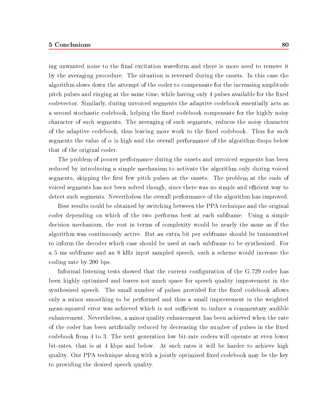#### 5 Conclusions 80

ing unwanted noise to the final excitation waveform and there is more need to remove it by the averaging procedure. The situation is reversed during the onsets. In this case the algorithm slows down the attempt of the coder to compensate for the increasing amplitude pitch pulses and ringing at the same time, while having only 4 pulses available for the fixed codevector. Similarly, during unvoiced segments the adaptive codebook essentially acts as a second stochastic codebook, helping the fixed codebook compensate for the highly noisy character of such segments. The averaging of such segments, reduces the noisy character of the adaptive codebook, thus leaving more work to the fixed codebook. Thus for such segments the value of  $\alpha$  is high and the overall performance of the algorithm drops below that of the original coder.

The problem of poorer performance during the onsets and unvoiced segments has been reduced by introducing a simple mechanism to activate the algorithm only during voiced segments, skipping the first few pitch pulses at the onsets. The problem at the ends of voiced segments has not been solved though, since there was no simple and efficient way to detect such segments. Nevertheless the overall performance of the algorithm has improved.

Best results could be obtained by switching between the PPA technique and the original coder depending on which of the two performs best at each subframe. Using a simple decision mechanism, the cost in terms of complexity would be nearly the same as if the algorithm was continuously active. But an extra bit per subframe should be transmitted to inform the decoder which case should be used ateach subframe to be synthesized. For a 5 ms subframe and an 8 kHz input sampled speech, such a scheme would increase the coding rate by 200 bps.

Informal listening tests showed that the current configuration of the G.729 coder has been highly optimized and leaves not much space for speech quality improvement in the synthesized speech. The small number of pulses provided for the fixed codebook allows only a minor smoothing to be performed and thus a small improvement in the weighted mean-squared error was achieved which is not sufficient to induce a commentary audible enhancement. Nevertheless, a minor quality enhancement has been achieved when the rate of the coder has been artificially reduced by decreasing the number of pulses in the fixed codebook from 4 to 3. The next generation low bit-rate coders will operate at even lower bit-rates, that is at 4 kbps and below. At such rates it will be harder to achieve high quality. Our PPA technique along with a jointly optimized fixed codebook may be the key to providing the desired speech quality.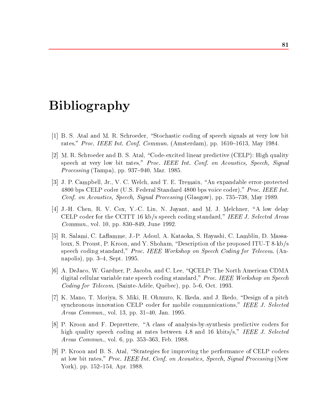## Bibliography

- [1] B. S. Atal and M. R. Schroeder, "Stochastic coding of speech signals at very low bit rates," *Proc. IEEE Int. Conf. Commun.* (Amsterdam), pp. 1610–1613, May 1984.
- [2] M. R. Schroeder and B. S. Atal, "Code-excited linear predictive (CELP): High quality speech at very low bit rates," Proc. IEEE Int. Conf. on Acoustics, Speech, Signal *Processing* (Tampa), pp. 937–940, Mar. 1985.
- [3] J. P. Campbell, Jr., V. C. Welch, and T. E. Tremain, \An expandable error-protected 4800 bps CELP coder (U.S. Federal Standard 4800 bps voice coder)," Proc. IEEE Int. Conf. on Acoustics, Speech, Signal Processing (Glasgow), pp. 735–738, May 1989.
- [4] J.-H. Chen, R. V. Cox, Y.-C. Lin, N. Jayant, and M. J. Melchner, "A low delay CELP coder for the CCITT 16 kb/s speech coding standard," IEEE J. Selected Areas Commun., vol. 10, pp. 830-849, June 1992.
- [5] R. Salami, C. Laflamme, J.-P. Adoul, A. Kataoka, S. Hayashi, C. Lamblin, D. Massaloux, S. Proust, P. Kroon, and Y. Shoham, "Description of the proposed ITU-T 8-kb/s speech coding standard," Proc. IEEE Workshop on Speech Coding for Telecom. (Annapolis), pp. 3–4, Sept. 1995.
- [6] A. DeJaco, W. Gardner, P. Jacobs, and C. Lee, \QCELP: The North American CDMA digital cellular variable rate speech coding standard," Proc. IEEE Workshop on Speech Coding for Telecom. (Sainte-Adèle, Québec), pp.  $5-6$ , Oct. 1993.
- [7] K. Mano, T. Moriya, S. Miki, H. Ohmuro, K. Ikeda, and J. Ikedo, "Design of a pitch synchronous innovation CELP coder for mobile communications," IEEE J. Selected *Areas Commun.*, vol. 13, pp. 31–40, Jan. 1995.
- [8] P. Kroon and F. Deprettere, \A class of analysis-by-synthesis predictive coders for high quality speech coding at rates between 4.8 and 16 kbits/s," IEEE J. Selected *Areas Commun.*, vol. 6, pp.  $353-363$ , Feb. 1988.
- [9] P. Kroon and B. S. Atal, "Strategies for improving the performance of CELP coders at low bit rates," *Proc. IEEE Int. Conf. on Acoustics, Speech, Signal Processing* (New York), pp. 152–154, Apr. 1988.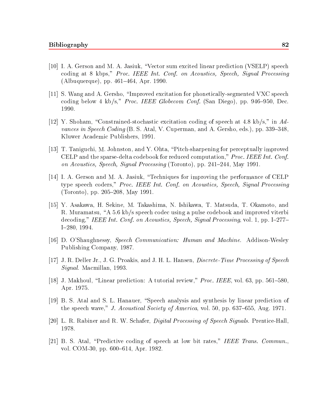- [10] I. A. Gerson and M. A. Jasiuk, \Vector sum excited linear prediction (VSELP) speech coding at 8 kbps," Proc. IEEE Int. Conf. on Acoustics, Speech, Signal Processing (Albuquerque), pp. 461–464, Apr. 1990.
- [11] S. Wang and A. Gersho, "Improved excitation for phonetically-segmented VXC speech coding below 4 kb/s," *Proc. IEEE Globecom Conf.* (San Diego), pp. 946–950, Dec. 1990.
- [12] Y. Shoham, "Constrained-stochastic excitation coding of speech at 4.8 kb/s," in Advances in Speech Coding (B. S. Atal, V. Cuperman, and A. Gersho, eds.), pp. 339–348. Kluwer Academic Publishers, 1991.
- [13] T. Taniguchi, M. Johnston, and Y. Ohta, \Pitch-sharpening for perceptually improved CELP and the sparse-delta codebook for reduced computation," *Proc. IEEE Int. Conf.* on Acoustics, Speech, Signal Processing (Toronto), pp. 241-244, May 1991.
- [14] I. A. Gerson and M. A. Jasiuk, \Techniques for improving the performance of CELP type speech coders," Proc. IEEE Int. Conf. on Acoustics, Speech, Signal Processing (Toronto), pp. 205–208, May 1991.
- [15] Y. Asakawa, H. Sekine, M. Takashima, N. Ishikawa, T. Matsuda, T. Okamoto, and R. Muramatsu, "A 5.6 kb/s speech codec using a pulse codebook and improved viterbi decoding," IEEE Int. Conf. on Acoustics, Speech, Signal Processing, vol. 1, pp. I-277- $I=280, 1994.$
- [16] D. O'Shaughnessy, Speech Communication: Human and Machine. Addison-Wesley Publishing Company, 1987.
- [17] J. R. Deller Jr., J. G. Proakis, and J. H. L. Hansen, *Discrete-Time Processing of Speech* Signal. Macmillan, 1993.
- [18] J. Makhoul, "Linear prediction: A tutorial review," Proc. IEEE, vol. 63, pp. 561-580, Apr. 1975.
- [19] B. S. Atal and S. L. Hanauer, "Speech analysis and synthesis by linear prediction of the speech wave," J. Acoustical Society of America, vol. 50, pp. 637–655, Aug. 1971.
- [20] L. R. Rabiner and R. W. Schafer, *Digital Processing of Speech Signals*. Prentice-Hall, 1978.
- [21] B. S. Atal, "Predictive coding of speech at low bit rates," IEEE Trans. Commun., vol. COM-30, pp. 600-614, Apr. 1982.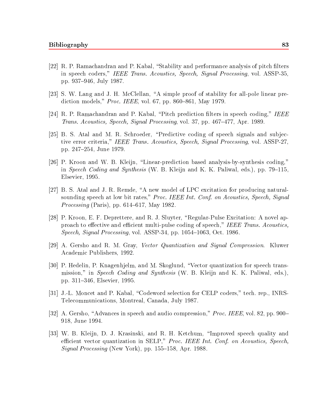- $[22]$  R. P. Ramachandran and P. Kabal, "Stability and performance analysis of pitch filters in speech coders," IEEE Trans. Acoustics, Speech, Signal Processing, vol. ASSP-35, pp. 937-946, July 1987.
- [23] S. W. Lang and J. H. McClellan, "A simple proof of stability for all-pole linear prediction models," *Proc. IEEE*, vol. 67, pp. 860–861, May 1979.
- [24] R. P. Ramachandran and P. Kabal, "Pitch prediction filters in speech coding," IEEE Trans. Acoustics, Speech, Signal Processing, vol. 37, pp.  $467–477$ , Apr. 1989.
- [25] B. S. Atal and M. R. Schroeder, "Predictive coding of speech signals and subjective error criteria," IEEE Trans. Acoustics, Speech, Signal Processing, vol. ASSP-27, pp. 247-254, June 1979.
- [26] P. Kroon and W. B. Kleijn, \Linear-prediction based analysis-by-synthesis coding," in Speech Coding and Synthesis (W. B. Kleijn and K. K. Paliwal, eds.), pp. 79–115, Elsevier, 1995.
- [27] B. S. Atal and J. R. Remde, "A new model of LPC excitation for producing naturalsounding speech at low bit rates," Proc. IEEE Int. Conf. on Acoustics, Speech, Signal *Processing* (Paris), pp. 614-617, May 1982.
- [28] P. Kroon, E. F. Deprettere, and R. J. Sluyter, "Regular-Pulse Excitation: A novel approach to effective and efficient multi-pulse coding of speech," IEEE Trans. Acoustics,  $Speech, Signal Processing$ , vol. ASSP-34, pp. 1054-1063, Oct. 1986.
- [29] A. Gersho and R. M. Gray, Vector Quantization and Signal Compression. Kluwer Academic Publishers, 1992.
- [30] P. Hedelin, P. Knagenhjelm, and M. Skoglund, \Vector quantization for speech transmission," in Speech Coding and Synthesis (W. B. Kleijn and K. K. Paliwal, eds.), pp. 311-346, Elsevier, 1995.
- [31] J.-L. Moncet and P. Kabal, \Codeword selection for CELP coders," tech. rep., INRS-Telecommunications, Montreal, Canada, July 1987.
- [32] A. Gersho, "Advances in speech and audio compression," *Proc. IEEE*, vol. 82, pp. 900– 918, June 1994.
- [33] W. B. Kleijn, D. J. Krasinski, and R. H. Ketchum, \Improved speech quality and efficient vector quantization in SELP," Proc. IEEE Int. Conf. on Acoustics, Speech, Signal Processing (New York), pp.  $155–158$ , Apr. 1988.